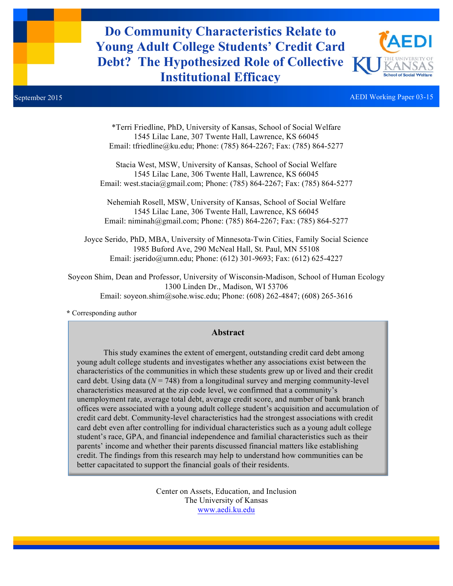**Do Community Characteristics Relate to Young Adult College Students' Credit Card Debt? The Hypothesized Role of Collective Institutional Efficacy**



September 2015 AEDI Working Paper 03-15

\*Terri Friedline, PhD, University of Kansas, School of Social Welfare 1545 Lilac Lane, 307 Twente Hall, Lawrence, KS 66045 Email: tfriedline@ku.edu; Phone: (785) 864-2267; Fax: (785) 864-5277

Stacia West, MSW, University of Kansas, School of Social Welfare 1545 Lilac Lane, 306 Twente Hall, Lawrence, KS 66045 Email: west.stacia@gmail.com; Phone: (785) 864-2267; Fax: (785) 864-5277

Nehemiah Rosell, MSW, University of Kansas, School of Social Welfare 1545 Lilac Lane, 306 Twente Hall, Lawrence, KS 66045 Email: niminah@gmail.com; Phone: (785) 864-2267; Fax: (785) 864-5277

Joyce Serido, PhD, MBA, University of Minnesota-Twin Cities, Family Social Science 1985 Buford Ave, 290 McNeal Hall, St. Paul, MN 55108 Email: jserido@umn.edu; Phone: (612) 301-9693; Fax: (612) 625-4227

Soyeon Shim, Dean and Professor, University of Wisconsin-Madison, School of Human Ecology 1300 Linden Dr., Madison, WI 53706 Email: soyeon.shim@sohe.wisc.edu; Phone: (608) 262-4847; (608) 265-3616

**\*** Corresponding author

#### **Abstract**

This study examines the extent of emergent, outstanding credit card debt among young adult college students and investigates whether any associations exist between the characteristics of the communities in which these students grew up or lived and their credit card debt. Using data  $(N = 748)$  from a longitudinal survey and merging community-level characteristics measured at the zip code level, we confirmed that a community's unemployment rate, average total debt, average credit score, and number of bank branch offices were associated with a young adult college student's acquisition and accumulation of credit card debt. Community-level characteristics had the strongest associations with credit card debt even after controlling for individual characteristics such as a young adult college student's race, GPA, and financial independence and familial characteristics such as their parents' income and whether their parents discussed financial matters like establishing credit. The findings from this research may help to understand how communities can be better capacitated to support the financial goals of their residents.

> Center on Assets, Education, and Inclusion The University of Kansas www.aedi.ku.edu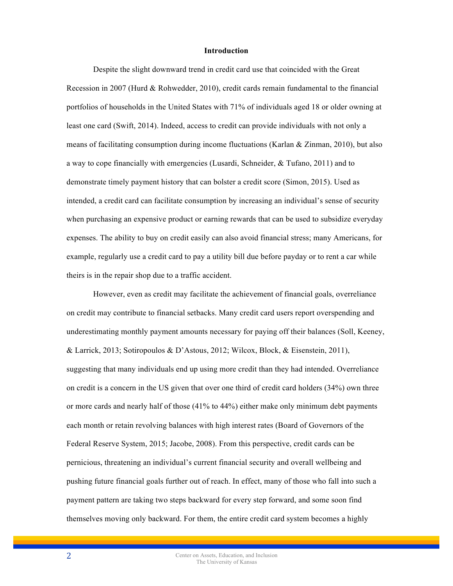#### **Introduction**

Despite the slight downward trend in credit card use that coincided with the Great Recession in 2007 (Hurd & Rohwedder, 2010), credit cards remain fundamental to the financial portfolios of households in the United States with 71% of individuals aged 18 or older owning at least one card (Swift, 2014). Indeed, access to credit can provide individuals with not only a means of facilitating consumption during income fluctuations (Karlan & Zinman, 2010), but also a way to cope financially with emergencies (Lusardi, Schneider, & Tufano, 2011) and to demonstrate timely payment history that can bolster a credit score (Simon, 2015). Used as intended, a credit card can facilitate consumption by increasing an individual's sense of security when purchasing an expensive product or earning rewards that can be used to subsidize everyday expenses. The ability to buy on credit easily can also avoid financial stress; many Americans, for example, regularly use a credit card to pay a utility bill due before payday or to rent a car while theirs is in the repair shop due to a traffic accident.

However, even as credit may facilitate the achievement of financial goals, overreliance on credit may contribute to financial setbacks. Many credit card users report overspending and underestimating monthly payment amounts necessary for paying off their balances (Soll, Keeney, & Larrick, 2013; Sotiropoulos & D'Astous, 2012; Wilcox, Block, & Eisenstein, 2011), suggesting that many individuals end up using more credit than they had intended. Overreliance on credit is a concern in the US given that over one third of credit card holders (34%) own three or more cards and nearly half of those (41% to 44%) either make only minimum debt payments each month or retain revolving balances with high interest rates (Board of Governors of the Federal Reserve System, 2015; Jacobe, 2008). From this perspective, credit cards can be pernicious, threatening an individual's current financial security and overall wellbeing and pushing future financial goals further out of reach. In effect, many of those who fall into such a payment pattern are taking two steps backward for every step forward, and some soon find themselves moving only backward. For them, the entire credit card system becomes a highly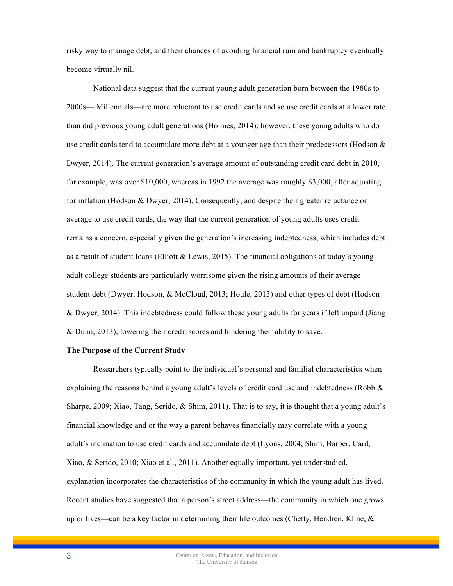risky way to manage debt, and their chances of avoiding financial ruin and bankruptcy eventually become virtually nil.

National data suggest that the current young adult generation born between the 1980s to 2000s— Millennials—are more reluctant to use credit cards and so use credit cards at a lower rate than did previous young adult generations (Holmes, 2014); however, these young adults who do use credit cards tend to accumulate more debt at a younger age than their predecessors (Hodson  $\&$ Dwyer, 2014). The current generation's average amount of outstanding credit card debt in 2010, for example, was over \$10,000, whereas in 1992 the average was roughly \$3,000, after adjusting for inflation (Hodson & Dwyer, 2014). Consequently, and despite their greater reluctance on average to use credit cards, the way that the current generation of young adults uses credit remains a concern, especially given the generation's increasing indebtedness, which includes debt as a result of student loans (Elliott & Lewis, 2015). The financial obligations of today's young adult college students are particularly worrisome given the rising amounts of their average student debt (Dwyer, Hodson, & McCloud, 2013; Houle, 2013) and other types of debt (Hodson & Dwyer, 2014). This indebtedness could follow these young adults for years if left unpaid (Jiang & Dunn, 2013), lowering their credit scores and hindering their ability to save.

# **The Purpose of the Current Study**

Researchers typically point to the individual's personal and familial characteristics when explaining the reasons behind a young adult's levels of credit card use and indebtedness (Robb  $\&$ Sharpe, 2009; Xiao, Tang, Serido, & Shim, 2011). That is to say, it is thought that a young adult's financial knowledge and or the way a parent behaves financially may correlate with a young adult's inclination to use credit cards and accumulate debt (Lyons, 2004; Shim, Barber, Card, Xiao, & Serido, 2010; Xiao et al., 2011). Another equally important, yet understudied, explanation incorporates the characteristics of the community in which the young adult has lived. Recent studies have suggested that a person's street address—the community in which one grows up or lives—can be a key factor in determining their life outcomes (Chetty, Hendren, Kline,  $\&$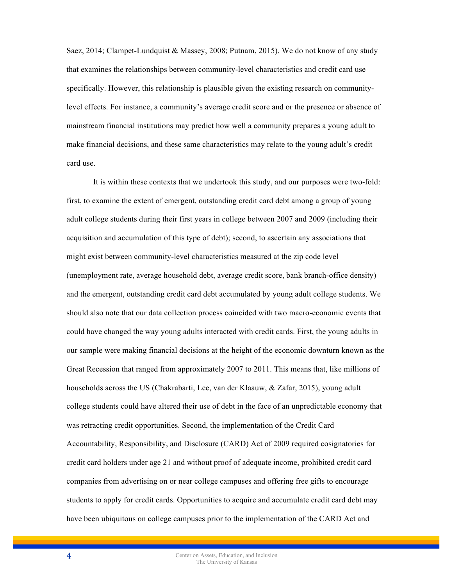Saez, 2014; Clampet-Lundquist & Massey, 2008; Putnam, 2015). We do not know of any study that examines the relationships between community-level characteristics and credit card use specifically. However, this relationship is plausible given the existing research on communitylevel effects. For instance, a community's average credit score and or the presence or absence of mainstream financial institutions may predict how well a community prepares a young adult to make financial decisions, and these same characteristics may relate to the young adult's credit card use.

It is within these contexts that we undertook this study, and our purposes were two-fold: first, to examine the extent of emergent, outstanding credit card debt among a group of young adult college students during their first years in college between 2007 and 2009 (including their acquisition and accumulation of this type of debt); second, to ascertain any associations that might exist between community-level characteristics measured at the zip code level (unemployment rate, average household debt, average credit score, bank branch-office density) and the emergent, outstanding credit card debt accumulated by young adult college students. We should also note that our data collection process coincided with two macro-economic events that could have changed the way young adults interacted with credit cards. First, the young adults in our sample were making financial decisions at the height of the economic downturn known as the Great Recession that ranged from approximately 2007 to 2011. This means that, like millions of households across the US (Chakrabarti, Lee, van der Klaauw, & Zafar, 2015), young adult college students could have altered their use of debt in the face of an unpredictable economy that was retracting credit opportunities. Second, the implementation of the Credit Card Accountability, Responsibility, and Disclosure (CARD) Act of 2009 required cosignatories for credit card holders under age 21 and without proof of adequate income, prohibited credit card companies from advertising on or near college campuses and offering free gifts to encourage students to apply for credit cards. Opportunities to acquire and accumulate credit card debt may have been ubiquitous on college campuses prior to the implementation of the CARD Act and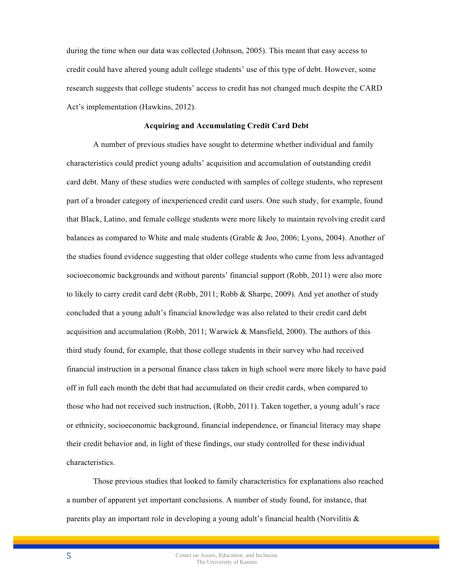during the time when our data was collected (Johnson, 2005). This meant that easy access to credit could have altered young adult college students' use of this type of debt. However, some research suggests that college students' access to credit has not changed much despite the CARD Act's implementation (Hawkins, 2012).

#### **Acquiring and Accumulating Credit Card Debt**

A number of previous studies have sought to determine whether individual and family characteristics could predict young adults' acquisition and accumulation of outstanding credit card debt. Many of these studies were conducted with samples of college students, who represent part of a broader category of inexperienced credit card users. One such study, for example, found that Black, Latino, and female college students were more likely to maintain revolving credit card balances as compared to White and male students (Grable & Joo, 2006; Lyons, 2004). Another of the studies found evidence suggesting that older college students who came from less advantaged socioeconomic backgrounds and without parents' financial support (Robb, 2011) were also more to likely to carry credit card debt (Robb, 2011; Robb & Sharpe, 2009). And yet another of study concluded that a young adult's financial knowledge was also related to their credit card debt acquisition and accumulation (Robb, 2011; Warwick & Mansfield, 2000). The authors of this third study found, for example, that those college students in their survey who had received financial instruction in a personal finance class taken in high school were more likely to have paid off in full each month the debt that had accumulated on their credit cards, when compared to those who had not received such instruction, (Robb, 2011). Taken together, a young adult's race or ethnicity, socioeconomic background, financial independence, or financial literacy may shape their credit behavior and, in light of these findings, our study controlled for these individual characteristics.

Those previous studies that looked to family characteristics for explanations also reached a number of apparent yet important conclusions. A number of study found, for instance, that parents play an important role in developing a young adult's financial health (Norvilitis &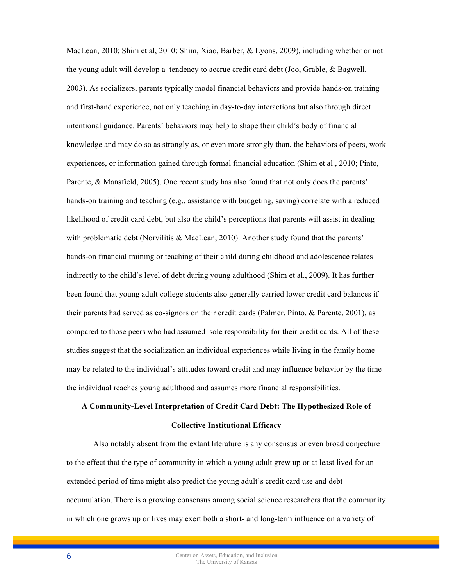MacLean, 2010; Shim et al, 2010; Shim, Xiao, Barber, & Lyons, 2009), including whether or not the young adult will develop a tendency to accrue credit card debt (Joo, Grable, & Bagwell, 2003). As socializers, parents typically model financial behaviors and provide hands-on training and first-hand experience, not only teaching in day-to-day interactions but also through direct intentional guidance. Parents' behaviors may help to shape their child's body of financial knowledge and may do so as strongly as, or even more strongly than, the behaviors of peers, work experiences, or information gained through formal financial education (Shim et al., 2010; Pinto, Parente, & Mansfield, 2005). One recent study has also found that not only does the parents' hands-on training and teaching (e.g., assistance with budgeting, saving) correlate with a reduced likelihood of credit card debt, but also the child's perceptions that parents will assist in dealing with problematic debt (Norvilitis  $\& \text{MacLean}, 2010$ ). Another study found that the parents' hands-on financial training or teaching of their child during childhood and adolescence relates indirectly to the child's level of debt during young adulthood (Shim et al., 2009). It has further been found that young adult college students also generally carried lower credit card balances if their parents had served as co-signors on their credit cards (Palmer, Pinto, & Parente, 2001), as compared to those peers who had assumed sole responsibility for their credit cards. All of these studies suggest that the socialization an individual experiences while living in the family home may be related to the individual's attitudes toward credit and may influence behavior by the time the individual reaches young adulthood and assumes more financial responsibilities.

# **A Community-Level Interpretation of Credit Card Debt: The Hypothesized Role of Collective Institutional Efficacy**

Also notably absent from the extant literature is any consensus or even broad conjecture to the effect that the type of community in which a young adult grew up or at least lived for an extended period of time might also predict the young adult's credit card use and debt accumulation. There is a growing consensus among social science researchers that the community in which one grows up or lives may exert both a short- and long-term influence on a variety of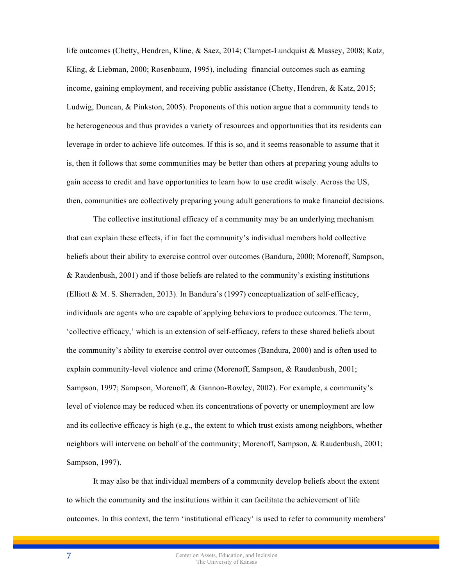life outcomes (Chetty, Hendren, Kline, & Saez, 2014; Clampet-Lundquist & Massey, 2008; Katz, Kling, & Liebman, 2000; Rosenbaum, 1995), including financial outcomes such as earning income, gaining employment, and receiving public assistance (Chetty, Hendren, & Katz, 2015; Ludwig, Duncan, & Pinkston, 2005). Proponents of this notion argue that a community tends to be heterogeneous and thus provides a variety of resources and opportunities that its residents can leverage in order to achieve life outcomes. If this is so, and it seems reasonable to assume that it is, then it follows that some communities may be better than others at preparing young adults to gain access to credit and have opportunities to learn how to use credit wisely. Across the US, then, communities are collectively preparing young adult generations to make financial decisions.

The collective institutional efficacy of a community may be an underlying mechanism that can explain these effects, if in fact the community's individual members hold collective beliefs about their ability to exercise control over outcomes (Bandura, 2000; Morenoff, Sampson, & Raudenbush, 2001) and if those beliefs are related to the community's existing institutions (Elliott & M. S. Sherraden, 2013). In Bandura's (1997) conceptualization of self-efficacy, individuals are agents who are capable of applying behaviors to produce outcomes. The term, 'collective efficacy,' which is an extension of self-efficacy, refers to these shared beliefs about the community's ability to exercise control over outcomes (Bandura, 2000) and is often used to explain community-level violence and crime (Morenoff, Sampson, & Raudenbush, 2001; Sampson, 1997; Sampson, Morenoff, & Gannon-Rowley, 2002). For example, a community's level of violence may be reduced when its concentrations of poverty or unemployment are low and its collective efficacy is high (e.g., the extent to which trust exists among neighbors, whether neighbors will intervene on behalf of the community; Morenoff, Sampson, & Raudenbush, 2001; Sampson, 1997).

It may also be that individual members of a community develop beliefs about the extent to which the community and the institutions within it can facilitate the achievement of life outcomes. In this context, the term 'institutional efficacy' is used to refer to community members'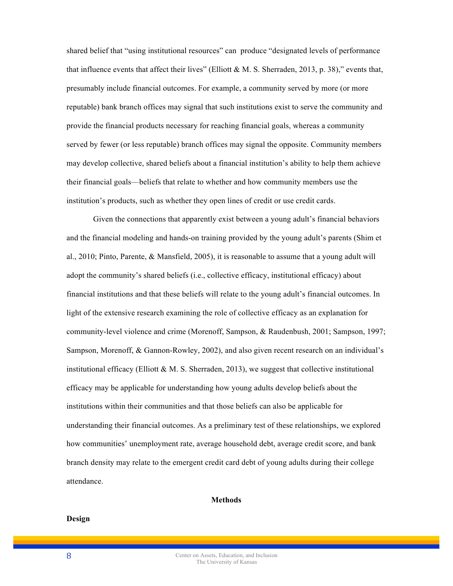shared belief that "using institutional resources" can produce "designated levels of performance that influence events that affect their lives" (Elliott & M. S. Sherraden, 2013, p. 38)," events that, presumably include financial outcomes. For example, a community served by more (or more reputable) bank branch offices may signal that such institutions exist to serve the community and provide the financial products necessary for reaching financial goals, whereas a community served by fewer (or less reputable) branch offices may signal the opposite. Community members may develop collective, shared beliefs about a financial institution's ability to help them achieve their financial goals—beliefs that relate to whether and how community members use the institution's products, such as whether they open lines of credit or use credit cards.

Given the connections that apparently exist between a young adult's financial behaviors and the financial modeling and hands-on training provided by the young adult's parents (Shim et al., 2010; Pinto, Parente, & Mansfield, 2005), it is reasonable to assume that a young adult will adopt the community's shared beliefs (i.e., collective efficacy, institutional efficacy) about financial institutions and that these beliefs will relate to the young adult's financial outcomes. In light of the extensive research examining the role of collective efficacy as an explanation for community-level violence and crime (Morenoff, Sampson, & Raudenbush, 2001; Sampson, 1997; Sampson, Morenoff, & Gannon-Rowley, 2002), and also given recent research on an individual's institutional efficacy (Elliott & M. S. Sherraden, 2013), we suggest that collective institutional efficacy may be applicable for understanding how young adults develop beliefs about the institutions within their communities and that those beliefs can also be applicable for understanding their financial outcomes. As a preliminary test of these relationships, we explored how communities' unemployment rate, average household debt, average credit score, and bank branch density may relate to the emergent credit card debt of young adults during their college attendance.

#### **Methods**

#### **Design**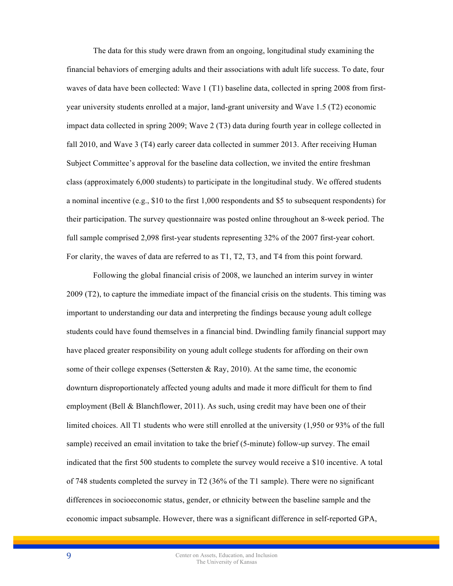The data for this study were drawn from an ongoing, longitudinal study examining the financial behaviors of emerging adults and their associations with adult life success. To date, four waves of data have been collected: Wave 1 (T1) baseline data, collected in spring 2008 from firstyear university students enrolled at a major, land-grant university and Wave 1.5 (T2) economic impact data collected in spring 2009; Wave 2 (T3) data during fourth year in college collected in fall 2010, and Wave 3 (T4) early career data collected in summer 2013. After receiving Human Subject Committee's approval for the baseline data collection, we invited the entire freshman class (approximately 6,000 students) to participate in the longitudinal study. We offered students a nominal incentive (e.g., \$10 to the first 1,000 respondents and \$5 to subsequent respondents) for their participation. The survey questionnaire was posted online throughout an 8-week period. The full sample comprised 2,098 first-year students representing 32% of the 2007 first-year cohort. For clarity, the waves of data are referred to as T1, T2, T3, and T4 from this point forward.

Following the global financial crisis of 2008, we launched an interim survey in winter 2009 (T2), to capture the immediate impact of the financial crisis on the students. This timing was important to understanding our data and interpreting the findings because young adult college students could have found themselves in a financial bind. Dwindling family financial support may have placed greater responsibility on young adult college students for affording on their own some of their college expenses (Settersten  $\&$  Ray, 2010). At the same time, the economic downturn disproportionately affected young adults and made it more difficult for them to find employment (Bell & Blanchflower, 2011). As such, using credit may have been one of their limited choices. All T1 students who were still enrolled at the university (1,950 or 93% of the full sample) received an email invitation to take the brief (5-minute) follow-up survey. The email indicated that the first 500 students to complete the survey would receive a \$10 incentive. A total of 748 students completed the survey in T2 (36% of the T1 sample). There were no significant differences in socioeconomic status, gender, or ethnicity between the baseline sample and the economic impact subsample. However, there was a significant difference in self-reported GPA,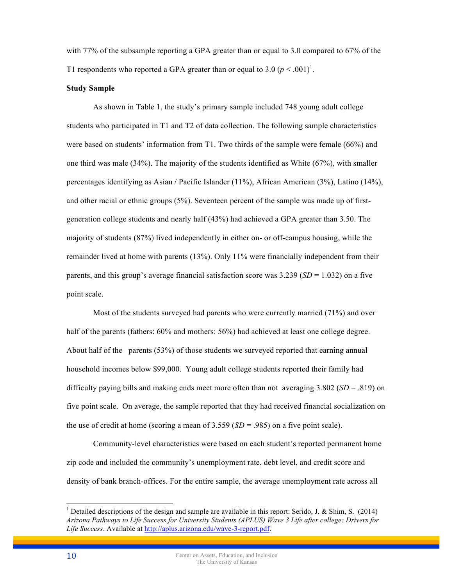with 77% of the subsample reporting a GPA greater than or equal to 3.0 compared to 67% of the T1 respondents who reported a GPA greater than or equal to  $3.0 (p \le 0.001)^1$ .

#### **Study Sample**

As shown in Table 1, the study's primary sample included 748 young adult college students who participated in T1 and T2 of data collection. The following sample characteristics were based on students' information from T1. Two thirds of the sample were female (66%) and one third was male (34%). The majority of the students identified as White (67%), with smaller percentages identifying as Asian / Pacific Islander (11%), African American (3%), Latino (14%), and other racial or ethnic groups (5%). Seventeen percent of the sample was made up of firstgeneration college students and nearly half (43%) had achieved a GPA greater than 3.50. The majority of students (87%) lived independently in either on- or off-campus housing, while the remainder lived at home with parents (13%). Only 11% were financially independent from their parents, and this group's average financial satisfaction score was  $3.239$  (*SD* = 1.032) on a five point scale.

Most of the students surveyed had parents who were currently married (71%) and over half of the parents (fathers:  $60\%$  and mothers:  $56\%$ ) had achieved at least one college degree. About half of the parents (53%) of those students we surveyed reported that earning annual household incomes below \$99,000. Young adult college students reported their family had difficulty paying bills and making ends meet more often than not averaging 3.802 (*SD* = .819) on five point scale. On average, the sample reported that they had received financial socialization on the use of credit at home (scoring a mean of  $3.559$  (*SD* = .985) on a five point scale).

Community-level characteristics were based on each student's reported permanent home zip code and included the community's unemployment rate, debt level, and credit score and density of bank branch-offices. For the entire sample, the average unemployment rate across all

<sup>&</sup>lt;sup>1</sup> Detailed descriptions of the design and sample are available in this report: Serido, J. & Shim, S. (2014) *Arizona Pathways to Life Success for University Students (APLUS) Wave 3 Life after college: Drivers for Life Success*. Available at http://aplus.arizona.edu/wave-3-report.pdf.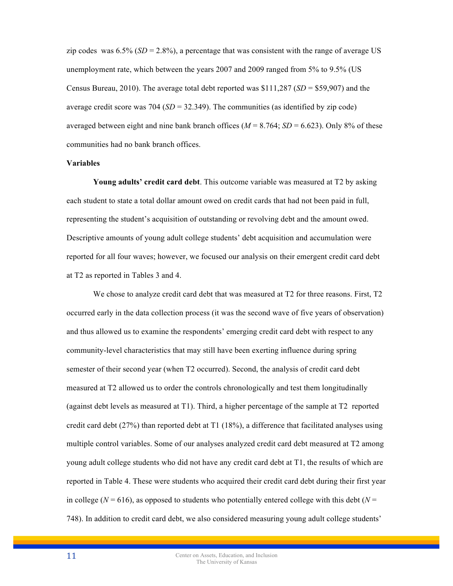zip codes was  $6.5\%$  (*SD* = 2.8%), a percentage that was consistent with the range of average US unemployment rate, which between the years 2007 and 2009 ranged from 5% to 9.5% (US Census Bureau, 2010). The average total debt reported was \$111,287 (*SD* = \$59,907) and the average credit score was  $704$  ( $SD = 32.349$ ). The communities (as identified by zip code) averaged between eight and nine bank branch offices ( $M = 8.764$ ;  $SD = 6.623$ ). Only 8% of these communities had no bank branch offices.

#### **Variables**

**Young adults' credit card debt**. This outcome variable was measured at T2 by asking each student to state a total dollar amount owed on credit cards that had not been paid in full, representing the student's acquisition of outstanding or revolving debt and the amount owed. Descriptive amounts of young adult college students' debt acquisition and accumulation were reported for all four waves; however, we focused our analysis on their emergent credit card debt at T2 as reported in Tables 3 and 4.

We chose to analyze credit card debt that was measured at T2 for three reasons. First, T2 occurred early in the data collection process (it was the second wave of five years of observation) and thus allowed us to examine the respondents' emerging credit card debt with respect to any community-level characteristics that may still have been exerting influence during spring semester of their second year (when T2 occurred). Second, the analysis of credit card debt measured at T2 allowed us to order the controls chronologically and test them longitudinally (against debt levels as measured at T1). Third, a higher percentage of the sample at T2 reported credit card debt  $(27%)$  than reported debt at T1  $(18%)$ , a difference that facilitated analyses using multiple control variables. Some of our analyses analyzed credit card debt measured at T2 among young adult college students who did not have any credit card debt at T1, the results of which are reported in Table 4. These were students who acquired their credit card debt during their first year in college ( $N = 616$ ), as opposed to students who potentially entered college with this debt ( $N =$ 748). In addition to credit card debt, we also considered measuring young adult college students'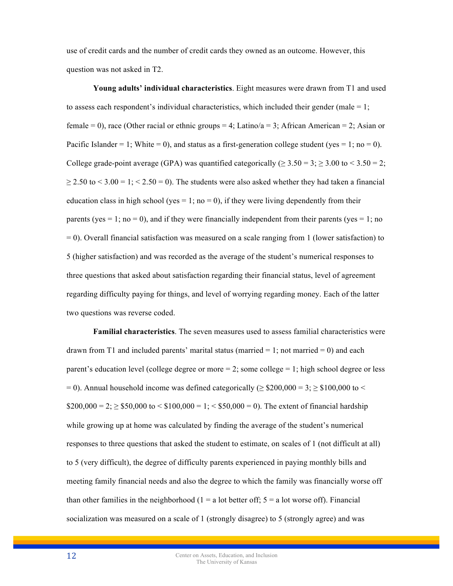use of credit cards and the number of credit cards they owned as an outcome. However, this question was not asked in T2.

**Young adults' individual characteristics**. Eight measures were drawn from T1 and used to assess each respondent's individual characteristics, which included their gender (male  $= 1$ ; female = 0), race (Other racial or ethnic groups = 4; Latino/a = 3; African American = 2; Asian or Pacific Islander = 1; White = 0), and status as a first-generation college student (yes = 1; no = 0). College grade-point average (GPA) was quantified categorically ( $\geq 3.50 = 3$ ;  $\geq 3.00$  to  $\leq 3.50 = 2$ ;  $\geq 2.50$  to  $\leq 3.00 = 1$ ;  $\leq 2.50 = 0$ ). The students were also asked whether they had taken a financial education class in high school (yes = 1; no = 0), if they were living dependently from their parents (yes  $= 1$ ; no  $= 0$ ), and if they were financially independent from their parents (yes  $= 1$ ; no = 0). Overall financial satisfaction was measured on a scale ranging from 1 (lower satisfaction) to 5 (higher satisfaction) and was recorded as the average of the student's numerical responses to three questions that asked about satisfaction regarding their financial status, level of agreement regarding difficulty paying for things, and level of worrying regarding money. Each of the latter two questions was reverse coded.

**Familial characteristics**. The seven measures used to assess familial characteristics were drawn from T1 and included parents' marital status (married  $= 1$ ; not married  $= 0$ ) and each parent's education level (college degree or more  $= 2$ ; some college  $= 1$ ; high school degree or less  $= 0$ ). Annual household income was defined categorically ( $\geq$  \$200,000 = 3;  $\geq$  \$100,000 to  $\leq$  $$200,000 = 2$ ;  $\geq $50,000$  to  $\leq $100,000 = 1$ ;  $\leq $50,000 = 0$ ). The extent of financial hardship while growing up at home was calculated by finding the average of the student's numerical responses to three questions that asked the student to estimate, on scales of 1 (not difficult at all) to 5 (very difficult), the degree of difficulty parents experienced in paying monthly bills and meeting family financial needs and also the degree to which the family was financially worse off than other families in the neighborhood  $(1 = a$  lot better off;  $5 = a$  lot worse off). Financial socialization was measured on a scale of 1 (strongly disagree) to 5 (strongly agree) and was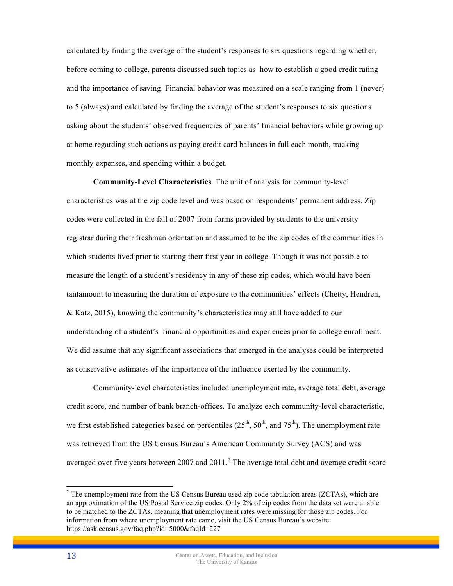calculated by finding the average of the student's responses to six questions regarding whether, before coming to college, parents discussed such topics as how to establish a good credit rating and the importance of saving. Financial behavior was measured on a scale ranging from 1 (never) to 5 (always) and calculated by finding the average of the student's responses to six questions asking about the students' observed frequencies of parents' financial behaviors while growing up at home regarding such actions as paying credit card balances in full each month, tracking monthly expenses, and spending within a budget.

**Community-Level Characteristics**. The unit of analysis for community-level characteristics was at the zip code level and was based on respondents' permanent address. Zip codes were collected in the fall of 2007 from forms provided by students to the university registrar during their freshman orientation and assumed to be the zip codes of the communities in which students lived prior to starting their first year in college. Though it was not possible to measure the length of a student's residency in any of these zip codes, which would have been tantamount to measuring the duration of exposure to the communities' effects (Chetty, Hendren, & Katz, 2015), knowing the community's characteristics may still have added to our understanding of a student's financial opportunities and experiences prior to college enrollment. We did assume that any significant associations that emerged in the analyses could be interpreted as conservative estimates of the importance of the influence exerted by the community.

Community-level characteristics included unemployment rate, average total debt, average credit score, and number of bank branch-offices. To analyze each community-level characteristic, we first established categories based on percentiles  $(25<sup>th</sup>, 50<sup>th</sup>,$  and  $75<sup>th</sup>$ ). The unemployment rate was retrieved from the US Census Bureau's American Community Survey (ACS) and was averaged over five years between 2007 and 2011.<sup>2</sup> The average total debt and average credit score

<sup>&</sup>lt;sup>2</sup> The unemployment rate from the US Census Bureau used zip code tabulation areas (ZCTAs), which are an approximation of the US Postal Service zip codes. Only 2% of zip codes from the data set were unable to be matched to the ZCTAs, meaning that unemployment rates were missing for those zip codes. For information from where unemployment rate came, visit the US Census Bureau's website: https://ask.census.gov/faq.php?id=5000&faqId=227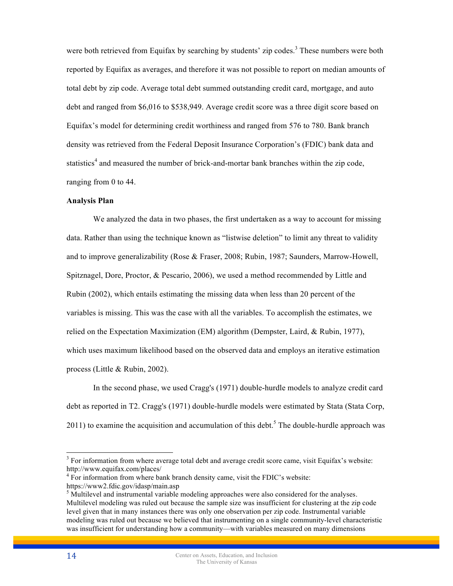were both retrieved from Equifax by searching by students' zip codes.<sup>3</sup> These numbers were both reported by Equifax as averages, and therefore it was not possible to report on median amounts of total debt by zip code. Average total debt summed outstanding credit card, mortgage, and auto debt and ranged from \$6,016 to \$538,949. Average credit score was a three digit score based on Equifax's model for determining credit worthiness and ranged from 576 to 780. Bank branch density was retrieved from the Federal Deposit Insurance Corporation's (FDIC) bank data and statistics<sup>4</sup> and measured the number of brick-and-mortar bank branches within the zip code, ranging from 0 to 44.

#### **Analysis Plan**

We analyzed the data in two phases, the first undertaken as a way to account for missing data. Rather than using the technique known as "listwise deletion" to limit any threat to validity and to improve generalizability (Rose & Fraser, 2008; Rubin, 1987; Saunders, Marrow-Howell, Spitznagel, Dore, Proctor, & Pescario, 2006), we used a method recommended by Little and Rubin (2002), which entails estimating the missing data when less than 20 percent of the variables is missing. This was the case with all the variables. To accomplish the estimates, we relied on the Expectation Maximization (EM) algorithm (Dempster, Laird, & Rubin, 1977), which uses maximum likelihood based on the observed data and employs an iterative estimation process (Little & Rubin, 2002).

In the second phase, we used Cragg's (1971) double-hurdle models to analyze credit card debt as reported in T2. Cragg's (1971) double-hurdle models were estimated by Stata (Stata Corp, 2011) to examine the acquisition and accumulation of this debt.<sup>5</sup> The double-hurdle approach was

<sup>&</sup>lt;sup>3</sup> For information from where average total debt and average credit score came, visit Equifax's website: http://www.equifax.com/places/

 $4$  For information from where bank branch density came, visit the FDIC's website:

https://www2.fdic.gov/idasp/main.asp<br>
<sup>5</sup> Multilevel and instrumental variable modeling approaches were also considered for the analyses. Multilevel modeling was ruled out because the sample size was insufficient for clustering at the zip code level given that in many instances there was only one observation per zip code. Instrumental variable modeling was ruled out because we believed that instrumenting on a single community-level characteristic was insufficient for understanding how a community—with variables measured on many dimensions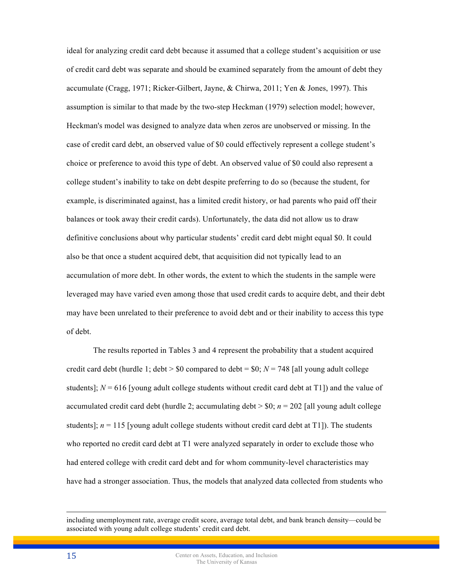ideal for analyzing credit card debt because it assumed that a college student's acquisition or use of credit card debt was separate and should be examined separately from the amount of debt they accumulate (Cragg, 1971; Ricker-Gilbert, Jayne, & Chirwa, 2011; Yen & Jones, 1997). This assumption is similar to that made by the two-step Heckman (1979) selection model; however, Heckman's model was designed to analyze data when zeros are unobserved or missing. In the case of credit card debt, an observed value of \$0 could effectively represent a college student's choice or preference to avoid this type of debt. An observed value of \$0 could also represent a college student's inability to take on debt despite preferring to do so (because the student, for example, is discriminated against, has a limited credit history, or had parents who paid off their balances or took away their credit cards). Unfortunately, the data did not allow us to draw definitive conclusions about why particular students' credit card debt might equal \$0. It could also be that once a student acquired debt, that acquisition did not typically lead to an accumulation of more debt. In other words, the extent to which the students in the sample were leveraged may have varied even among those that used credit cards to acquire debt, and their debt may have been unrelated to their preference to avoid debt and or their inability to access this type of debt.

The results reported in Tables 3 and 4 represent the probability that a student acquired credit card debt (hurdle 1; debt  $>$  \$0 compared to debt = \$0;  $N = 748$  [all young adult college students];  $N = 616$  [young adult college students without credit card debt at T1]) and the value of accumulated credit card debt (hurdle 2; accumulating debt  $>$  \$0;  $n = 202$  [all young adult college students];  $n = 115$  [young adult college students without credit card debt at T1]). The students who reported no credit card debt at T1 were analyzed separately in order to exclude those who had entered college with credit card debt and for whom community-level characteristics may have had a stronger association. Thus, the models that analyzed data collected from students who

 $\overline{a}$ 

including unemployment rate, average credit score, average total debt, and bank branch density—could be associated with young adult college students' credit card debt.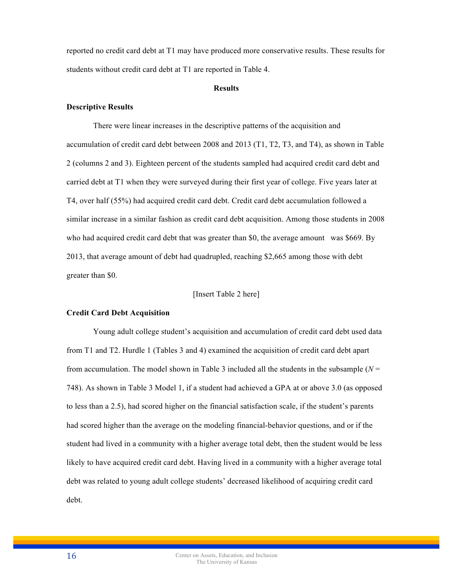reported no credit card debt at T1 may have produced more conservative results. These results for students without credit card debt at T1 are reported in Table 4.

#### **Results**

#### **Descriptive Results**

There were linear increases in the descriptive patterns of the acquisition and accumulation of credit card debt between 2008 and 2013 (T1, T2, T3, and T4), as shown in Table 2 (columns 2 and 3). Eighteen percent of the students sampled had acquired credit card debt and carried debt at T1 when they were surveyed during their first year of college. Five years later at T4, over half (55%) had acquired credit card debt. Credit card debt accumulation followed a similar increase in a similar fashion as credit card debt acquisition. Among those students in 2008 who had acquired credit card debt that was greater than \$0, the average amount was \$669. By 2013, that average amount of debt had quadrupled, reaching \$2,665 among those with debt greater than \$0.

# [Insert Table 2 here]

#### **Credit Card Debt Acquisition**

Young adult college student's acquisition and accumulation of credit card debt used data from T1 and T2. Hurdle 1 (Tables 3 and 4) examined the acquisition of credit card debt apart from accumulation. The model shown in Table 3 included all the students in the subsample  $(N =$ 748). As shown in Table 3 Model 1, if a student had achieved a GPA at or above 3.0 (as opposed to less than a 2.5), had scored higher on the financial satisfaction scale, if the student's parents had scored higher than the average on the modeling financial-behavior questions, and or if the student had lived in a community with a higher average total debt, then the student would be less likely to have acquired credit card debt. Having lived in a community with a higher average total debt was related to young adult college students' decreased likelihood of acquiring credit card debt.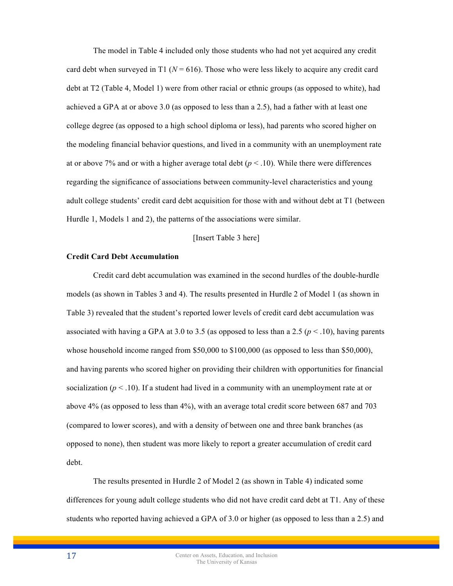The model in Table 4 included only those students who had not yet acquired any credit card debt when surveyed in T1 ( $N = 616$ ). Those who were less likely to acquire any credit card debt at T2 (Table 4, Model 1) were from other racial or ethnic groups (as opposed to white), had achieved a GPA at or above 3.0 (as opposed to less than a 2.5), had a father with at least one college degree (as opposed to a high school diploma or less), had parents who scored higher on the modeling financial behavior questions, and lived in a community with an unemployment rate at or above 7% and or with a higher average total debt  $(p < .10)$ . While there were differences regarding the significance of associations between community-level characteristics and young adult college students' credit card debt acquisition for those with and without debt at T1 (between Hurdle 1, Models 1 and 2), the patterns of the associations were similar.

#### [Insert Table 3 here]

# **Credit Card Debt Accumulation**

Credit card debt accumulation was examined in the second hurdles of the double-hurdle models (as shown in Tables 3 and 4). The results presented in Hurdle 2 of Model 1 (as shown in Table 3) revealed that the student's reported lower levels of credit card debt accumulation was associated with having a GPA at 3.0 to 3.5 (as opposed to less than a 2.5 ( $p < 0.10$ ), having parents whose household income ranged from \$50,000 to \$100,000 (as opposed to less than \$50,000), and having parents who scored higher on providing their children with opportunities for financial socialization ( $p < 0.10$ ). If a student had lived in a community with an unemployment rate at or above 4% (as opposed to less than 4%), with an average total credit score between 687 and 703 (compared to lower scores), and with a density of between one and three bank branches (as opposed to none), then student was more likely to report a greater accumulation of credit card debt.

The results presented in Hurdle 2 of Model 2 (as shown in Table 4) indicated some differences for young adult college students who did not have credit card debt at T1. Any of these students who reported having achieved a GPA of 3.0 or higher (as opposed to less than a 2.5) and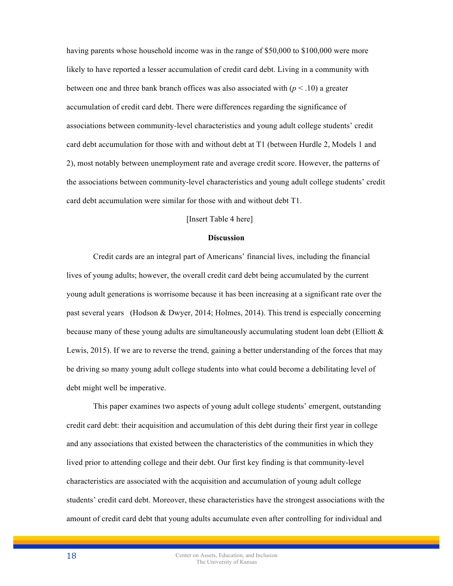having parents whose household income was in the range of \$50,000 to \$100,000 were more likely to have reported a lesser accumulation of credit card debt. Living in a community with between one and three bank branch offices was also associated with  $(p < .10)$  a greater accumulation of credit card debt. There were differences regarding the significance of associations between community-level characteristics and young adult college students' credit card debt accumulation for those with and without debt at T1 (between Hurdle 2, Models 1 and 2), most notably between unemployment rate and average credit score. However, the patterns of the associations between community-level characteristics and young adult college students' credit card debt accumulation were similar for those with and without debt T1.

# [Insert Table 4 here]

#### **Discussion**

Credit cards are an integral part of Americans' financial lives, including the financial lives of young adults; however, the overall credit card debt being accumulated by the current young adult generations is worrisome because it has been increasing at a significant rate over the past several years (Hodson & Dwyer, 2014; Holmes, 2014). This trend is especially concerning because many of these young adults are simultaneously accumulating student loan debt (Elliott  $\&$ Lewis, 2015). If we are to reverse the trend, gaining a better understanding of the forces that may be driving so many young adult college students into what could become a debilitating level of debt might well be imperative.

This paper examines two aspects of young adult college students' emergent, outstanding credit card debt: their acquisition and accumulation of this debt during their first year in college and any associations that existed between the characteristics of the communities in which they lived prior to attending college and their debt. Our first key finding is that community-level characteristics are associated with the acquisition and accumulation of young adult college students' credit card debt. Moreover, these characteristics have the strongest associations with the amount of credit card debt that young adults accumulate even after controlling for individual and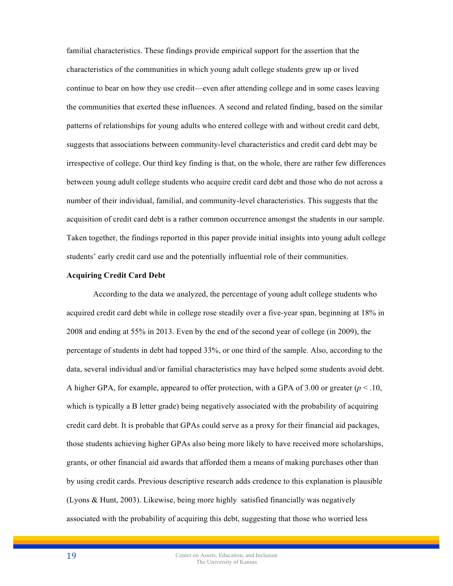familial characteristics. These findings provide empirical support for the assertion that the characteristics of the communities in which young adult college students grew up or lived continue to bear on how they use credit—even after attending college and in some cases leaving the communities that exerted these influences. A second and related finding, based on the similar patterns of relationships for young adults who entered college with and without credit card debt, suggests that associations between community-level characteristics and credit card debt may be irrespective of college. Our third key finding is that, on the whole, there are rather few differences between young adult college students who acquire credit card debt and those who do not across a number of their individual, familial, and community-level characteristics. This suggests that the acquisition of credit card debt is a rather common occurrence amongst the students in our sample. Taken together, the findings reported in this paper provide initial insights into young adult college students' early credit card use and the potentially influential role of their communities.

#### **Acquiring Credit Card Debt**

According to the data we analyzed, the percentage of young adult college students who acquired credit card debt while in college rose steadily over a five-year span, beginning at 18% in 2008 and ending at 55% in 2013. Even by the end of the second year of college (in 2009), the percentage of students in debt had topped 33%, or one third of the sample. Also, according to the data, several individual and/or familial characteristics may have helped some students avoid debt. A higher GPA, for example, appeared to offer protection, with a GPA of 3.00 or greater  $(p < 10,$ which is typically a B letter grade) being negatively associated with the probability of acquiring credit card debt. It is probable that GPAs could serve as a proxy for their financial aid packages, those students achieving higher GPAs also being more likely to have received more scholarships, grants, or other financial aid awards that afforded them a means of making purchases other than by using credit cards. Previous descriptive research adds credence to this explanation is plausible (Lyons & Hunt, 2003). Likewise, being more highly satisfied financially was negatively associated with the probability of acquiring this debt, suggesting that those who worried less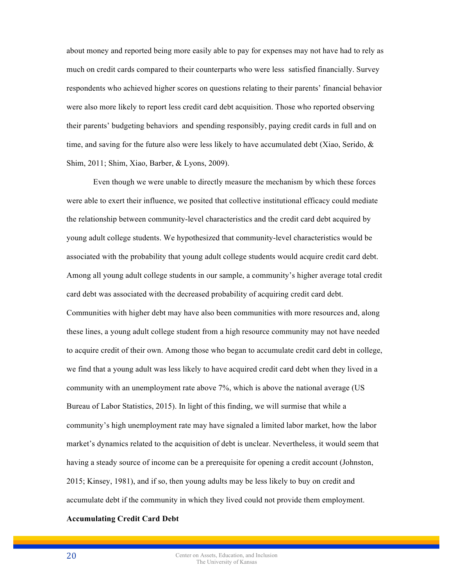about money and reported being more easily able to pay for expenses may not have had to rely as much on credit cards compared to their counterparts who were less satisfied financially. Survey respondents who achieved higher scores on questions relating to their parents' financial behavior were also more likely to report less credit card debt acquisition. Those who reported observing their parents' budgeting behaviors and spending responsibly, paying credit cards in full and on time, and saving for the future also were less likely to have accumulated debt (Xiao, Serido,  $\&$ Shim, 2011; Shim, Xiao, Barber, & Lyons, 2009).

Even though we were unable to directly measure the mechanism by which these forces were able to exert their influence, we posited that collective institutional efficacy could mediate the relationship between community-level characteristics and the credit card debt acquired by young adult college students. We hypothesized that community-level characteristics would be associated with the probability that young adult college students would acquire credit card debt. Among all young adult college students in our sample, a community's higher average total credit card debt was associated with the decreased probability of acquiring credit card debt. Communities with higher debt may have also been communities with more resources and, along these lines, a young adult college student from a high resource community may not have needed to acquire credit of their own. Among those who began to accumulate credit card debt in college, we find that a young adult was less likely to have acquired credit card debt when they lived in a community with an unemployment rate above 7%, which is above the national average (US Bureau of Labor Statistics, 2015). In light of this finding, we will surmise that while a community's high unemployment rate may have signaled a limited labor market, how the labor market's dynamics related to the acquisition of debt is unclear. Nevertheless, it would seem that having a steady source of income can be a prerequisite for opening a credit account (Johnston, 2015; Kinsey, 1981), and if so, then young adults may be less likely to buy on credit and accumulate debt if the community in which they lived could not provide them employment.

# **Accumulating Credit Card Debt**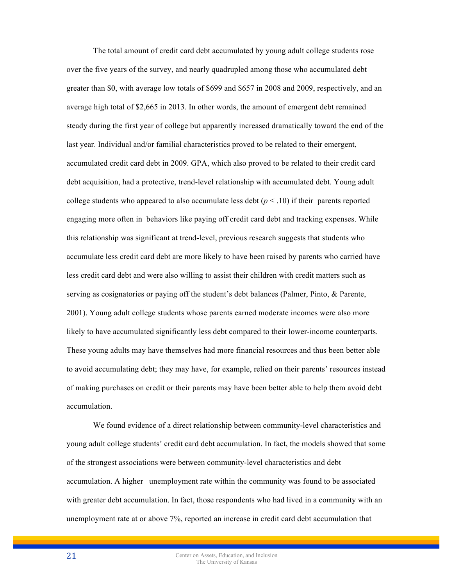The total amount of credit card debt accumulated by young adult college students rose over the five years of the survey, and nearly quadrupled among those who accumulated debt greater than \$0, with average low totals of \$699 and \$657 in 2008 and 2009, respectively, and an average high total of \$2,665 in 2013. In other words, the amount of emergent debt remained steady during the first year of college but apparently increased dramatically toward the end of the last year. Individual and/or familial characteristics proved to be related to their emergent, accumulated credit card debt in 2009. GPA, which also proved to be related to their credit card debt acquisition, had a protective, trend-level relationship with accumulated debt. Young adult college students who appeared to also accumulate less debt  $(p < .10)$  if their parents reported engaging more often in behaviors like paying off credit card debt and tracking expenses. While this relationship was significant at trend-level, previous research suggests that students who accumulate less credit card debt are more likely to have been raised by parents who carried have less credit card debt and were also willing to assist their children with credit matters such as serving as cosignatories or paying off the student's debt balances (Palmer, Pinto, & Parente, 2001). Young adult college students whose parents earned moderate incomes were also more likely to have accumulated significantly less debt compared to their lower-income counterparts. These young adults may have themselves had more financial resources and thus been better able to avoid accumulating debt; they may have, for example, relied on their parents' resources instead of making purchases on credit or their parents may have been better able to help them avoid debt accumulation.

We found evidence of a direct relationship between community-level characteristics and young adult college students' credit card debt accumulation. In fact, the models showed that some of the strongest associations were between community-level characteristics and debt accumulation. A higher unemployment rate within the community was found to be associated with greater debt accumulation. In fact, those respondents who had lived in a community with an unemployment rate at or above 7%, reported an increase in credit card debt accumulation that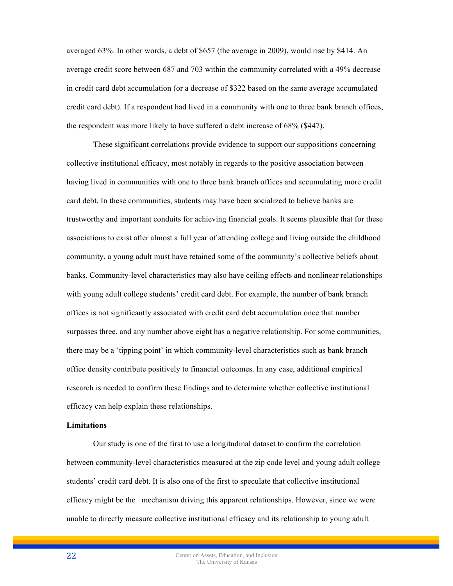averaged 63%. In other words, a debt of \$657 (the average in 2009), would rise by \$414. An average credit score between 687 and 703 within the community correlated with a 49% decrease in credit card debt accumulation (or a decrease of \$322 based on the same average accumulated credit card debt). If a respondent had lived in a community with one to three bank branch offices, the respondent was more likely to have suffered a debt increase of 68% (\$447).

These significant correlations provide evidence to support our suppositions concerning collective institutional efficacy, most notably in regards to the positive association between having lived in communities with one to three bank branch offices and accumulating more credit card debt. In these communities, students may have been socialized to believe banks are trustworthy and important conduits for achieving financial goals. It seems plausible that for these associations to exist after almost a full year of attending college and living outside the childhood community, a young adult must have retained some of the community's collective beliefs about banks. Community-level characteristics may also have ceiling effects and nonlinear relationships with young adult college students' credit card debt. For example, the number of bank branch offices is not significantly associated with credit card debt accumulation once that number surpasses three, and any number above eight has a negative relationship. For some communities, there may be a 'tipping point' in which community-level characteristics such as bank branch office density contribute positively to financial outcomes. In any case, additional empirical research is needed to confirm these findings and to determine whether collective institutional efficacy can help explain these relationships.

## **Limitations**

Our study is one of the first to use a longitudinal dataset to confirm the correlation between community-level characteristics measured at the zip code level and young adult college students' credit card debt. It is also one of the first to speculate that collective institutional efficacy might be the mechanism driving this apparent relationships. However, since we were unable to directly measure collective institutional efficacy and its relationship to young adult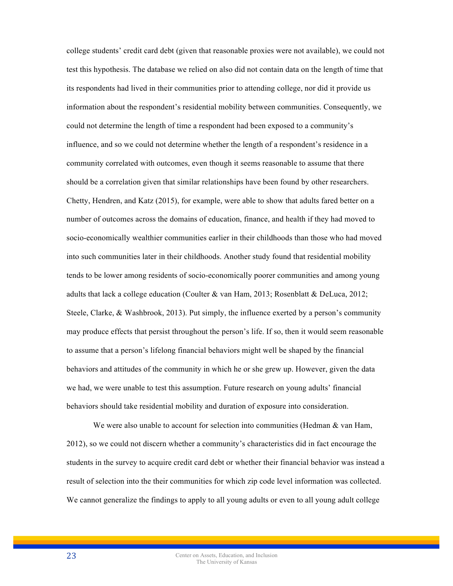college students' credit card debt (given that reasonable proxies were not available), we could not test this hypothesis. The database we relied on also did not contain data on the length of time that its respondents had lived in their communities prior to attending college, nor did it provide us information about the respondent's residential mobility between communities. Consequently, we could not determine the length of time a respondent had been exposed to a community's influence, and so we could not determine whether the length of a respondent's residence in a community correlated with outcomes, even though it seems reasonable to assume that there should be a correlation given that similar relationships have been found by other researchers. Chetty, Hendren, and Katz (2015), for example, were able to show that adults fared better on a number of outcomes across the domains of education, finance, and health if they had moved to socio-economically wealthier communities earlier in their childhoods than those who had moved into such communities later in their childhoods. Another study found that residential mobility tends to be lower among residents of socio-economically poorer communities and among young adults that lack a college education (Coulter & van Ham, 2013; Rosenblatt & DeLuca, 2012; Steele, Clarke, & Washbrook, 2013). Put simply, the influence exerted by a person's community may produce effects that persist throughout the person's life. If so, then it would seem reasonable to assume that a person's lifelong financial behaviors might well be shaped by the financial behaviors and attitudes of the community in which he or she grew up. However, given the data we had, we were unable to test this assumption. Future research on young adults' financial behaviors should take residential mobility and duration of exposure into consideration.

We were also unable to account for selection into communities (Hedman  $\&$  van Ham, 2012), so we could not discern whether a community's characteristics did in fact encourage the students in the survey to acquire credit card debt or whether their financial behavior was instead a result of selection into the their communities for which zip code level information was collected. We cannot generalize the findings to apply to all young adults or even to all young adult college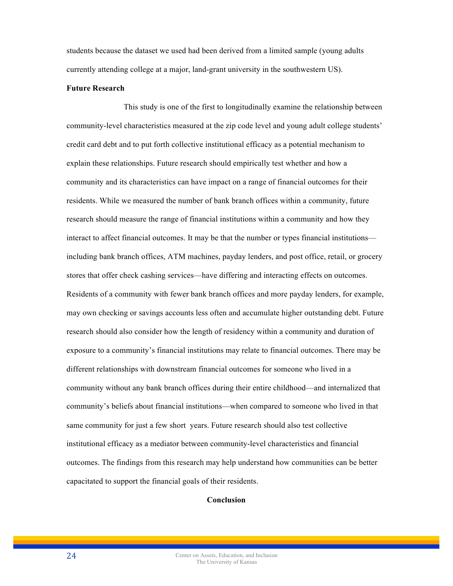students because the dataset we used had been derived from a limited sample (young adults currently attending college at a major, land-grant university in the southwestern US).

#### **Future Research**

This study is one of the first to longitudinally examine the relationship between community-level characteristics measured at the zip code level and young adult college students' credit card debt and to put forth collective institutional efficacy as a potential mechanism to explain these relationships. Future research should empirically test whether and how a community and its characteristics can have impact on a range of financial outcomes for their residents. While we measured the number of bank branch offices within a community, future research should measure the range of financial institutions within a community and how they interact to affect financial outcomes. It may be that the number or types financial institutions including bank branch offices, ATM machines, payday lenders, and post office, retail, or grocery stores that offer check cashing services—have differing and interacting effects on outcomes. Residents of a community with fewer bank branch offices and more payday lenders, for example, may own checking or savings accounts less often and accumulate higher outstanding debt. Future research should also consider how the length of residency within a community and duration of exposure to a community's financial institutions may relate to financial outcomes. There may be different relationships with downstream financial outcomes for someone who lived in a community without any bank branch offices during their entire childhood—and internalized that community's beliefs about financial institutions—when compared to someone who lived in that same community for just a few short years. Future research should also test collective institutional efficacy as a mediator between community-level characteristics and financial outcomes. The findings from this research may help understand how communities can be better capacitated to support the financial goals of their residents.

# **Conclusion**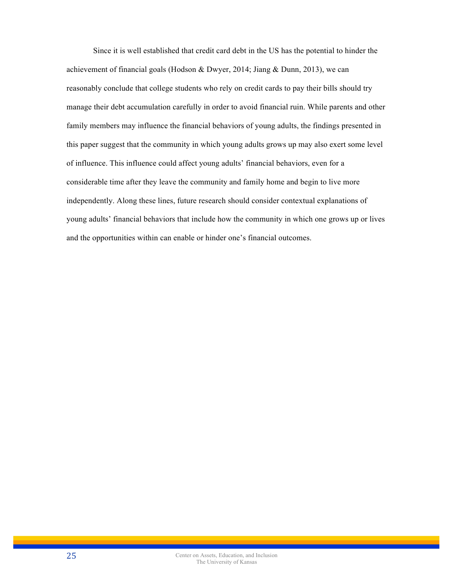Since it is well established that credit card debt in the US has the potential to hinder the achievement of financial goals (Hodson & Dwyer, 2014; Jiang & Dunn, 2013), we can reasonably conclude that college students who rely on credit cards to pay their bills should try manage their debt accumulation carefully in order to avoid financial ruin. While parents and other family members may influence the financial behaviors of young adults, the findings presented in this paper suggest that the community in which young adults grows up may also exert some level of influence. This influence could affect young adults' financial behaviors, even for a considerable time after they leave the community and family home and begin to live more independently. Along these lines, future research should consider contextual explanations of young adults' financial behaviors that include how the community in which one grows up or lives and the opportunities within can enable or hinder one's financial outcomes.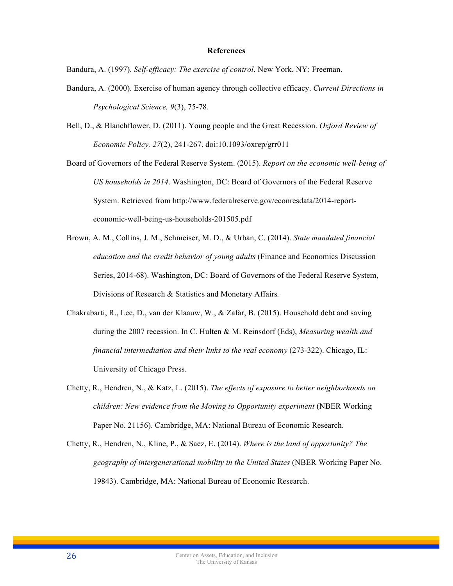#### **References**

Bandura, A. (1997). *Self-efficacy: The exercise of control*. New York, NY: Freeman.

- Bandura, A. (2000). Exercise of human agency through collective efficacy. *Current Directions in Psychological Science, 9*(3), 75-78.
- Bell, D., & Blanchflower, D. (2011). Young people and the Great Recession. *Oxford Review of Economic Policy, 27*(2), 241-267. doi:10.1093/oxrep/grr011

Board of Governors of the Federal Reserve System. (2015). *Report on the economic well-being of US households in 2014*. Washington, DC: Board of Governors of the Federal Reserve System. Retrieved from http://www.federalreserve.gov/econresdata/2014-reporteconomic-well-being-us-households-201505.pdf

- Brown, A. M., Collins, J. M., Schmeiser, M. D., & Urban, C. (2014). *State mandated financial education and the credit behavior of young adults* (Finance and Economics Discussion Series, 2014-68). Washington, DC: Board of Governors of the Federal Reserve System, Divisions of Research & Statistics and Monetary Affairs*.*
- Chakrabarti, R., Lee, D., van der Klaauw, W., & Zafar, B. (2015). Household debt and saving during the 2007 recession. In C. Hulten & M. Reinsdorf (Eds), *Measuring wealth and financial intermediation and their links to the real economy* (273-322). Chicago, IL: University of Chicago Press.
- Chetty, R., Hendren, N., & Katz, L. (2015). *The effects of exposure to better neighborhoods on children: New evidence from the Moving to Opportunity experiment* (NBER Working Paper No. 21156). Cambridge, MA: National Bureau of Economic Research.
- Chetty, R., Hendren, N., Kline, P., & Saez, E. (2014). *Where is the land of opportunity? The geography of intergenerational mobility in the United States* (NBER Working Paper No. 19843). Cambridge, MA: National Bureau of Economic Research.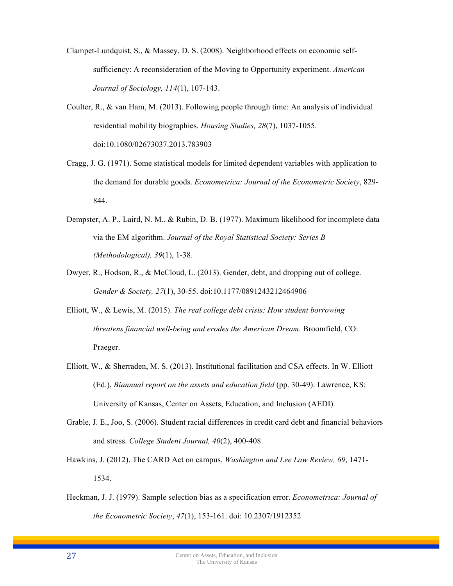- Clampet-Lundquist, S., & Massey, D. S. (2008). Neighborhood effects on economic selfsufficiency: A reconsideration of the Moving to Opportunity experiment. *American Journal of Sociology, 114*(1), 107-143.
- Coulter, R., & van Ham, M. (2013). Following people through time: An analysis of individual residential mobility biographies. *Housing Studies, 28*(7), 1037-1055. doi:10.1080/02673037.2013.783903
- Cragg, J. G. (1971). Some statistical models for limited dependent variables with application to the demand for durable goods. *Econometrica: Journal of the Econometric Society*, 829- 844.
- Dempster, A. P., Laird, N. M., & Rubin, D. B. (1977). Maximum likelihood for incomplete data via the EM algorithm. *Journal of the Royal Statistical Society: Series B (Methodological), 39*(1), 1-38.
- Dwyer, R., Hodson, R., & McCloud, L. (2013). Gender, debt, and dropping out of college. *Gender & Society, 27*(1), 30-55. doi:10.1177/0891243212464906
- Elliott, W., & Lewis, M. (2015). *The real college debt crisis: How student borrowing threatens financial well-being and erodes the American Dream.* Broomfield, CO: Praeger.
- Elliott, W., & Sherraden, M. S. (2013). Institutional facilitation and CSA effects. In W. Elliott (Ed.), *Biannual report on the assets and education field* (pp. 30-49). Lawrence, KS: University of Kansas, Center on Assets, Education, and Inclusion (AEDI).
- Grable, J. E., Joo, S. (2006). Student racial differences in credit card debt and financial behaviors and stress. *College Student Journal, 40*(2), 400-408.
- Hawkins, J. (2012). The CARD Act on campus. *Washington and Lee Law Review, 69*, 1471- 1534.
- Heckman, J. J. (1979). Sample selection bias as a specification error. *Econometrica: Journal of the Econometric Society*, *47*(1), 153-161. doi: 10.2307/1912352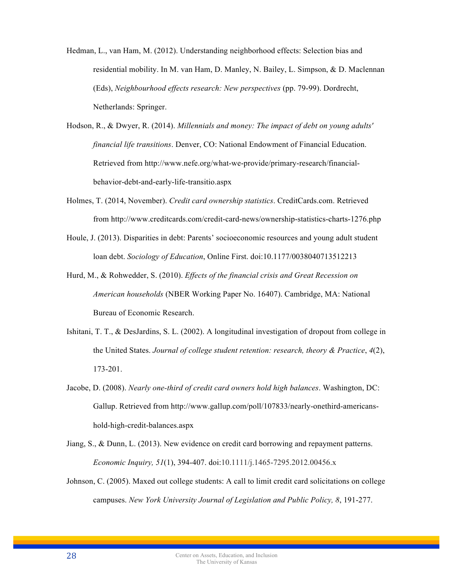- Hedman, L., van Ham, M. (2012). Understanding neighborhood effects: Selection bias and residential mobility. In M. van Ham, D. Manley, N. Bailey, L. Simpson, & D. Maclennan (Eds), *Neighbourhood effects research: New perspectives* (pp. 79-99). Dordrecht, Netherlands: Springer.
- Hodson, R., & Dwyer, R. (2014). *Millennials and money: The impact of debt on young adults' financial life transitions*. Denver, CO: National Endowment of Financial Education. Retrieved from http://www.nefe.org/what-we-provide/primary-research/financialbehavior-debt-and-early-life-transitio.aspx
- Holmes, T. (2014, November). *Credit card ownership statistics*. CreditCards.com. Retrieved from http://www.creditcards.com/credit-card-news/ownership-statistics-charts-1276.php
- Houle, J. (2013). Disparities in debt: Parents' socioeconomic resources and young adult student loan debt. *Sociology of Education*, Online First. doi:10.1177/0038040713512213
- Hurd, M., & Rohwedder, S. (2010). *Effects of the financial crisis and Great Recession on American households* (NBER Working Paper No. 16407). Cambridge, MA: National Bureau of Economic Research.
- Ishitani, T. T., & DesJardins, S. L. (2002). A longitudinal investigation of dropout from college in the United States. *Journal of college student retention: research, theory & Practice*, *4*(2), 173-201.
- Jacobe, D. (2008). *Nearly one-third of credit card owners hold high balances*. Washington, DC: Gallup. Retrieved from http://www.gallup.com/poll/107833/nearly-onethird-americanshold-high-credit-balances.aspx
- Jiang, S., & Dunn, L. (2013). New evidence on credit card borrowing and repayment patterns. *Economic Inquiry, 51*(1), 394-407. doi:10.1111/j.1465-7295.2012.00456.x
- Johnson, C. (2005). Maxed out college students: A call to limit credit card solicitations on college campuses. *New York University Journal of Legislation and Public Policy, 8*, 191-277.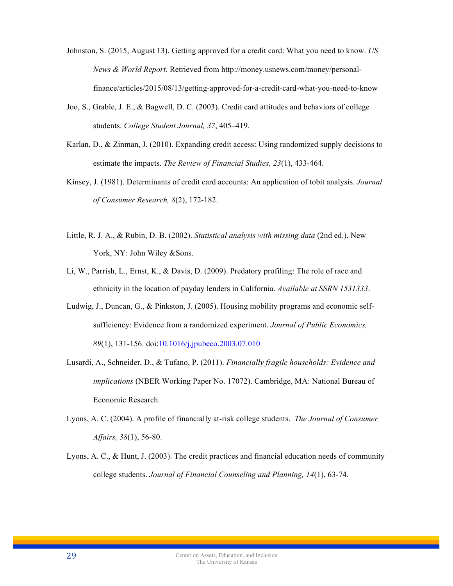- Johnston, S. (2015, August 13). Getting approved for a credit card: What you need to know. *US News & World Report*. Retrieved from http://money.usnews.com/money/personalfinance/articles/2015/08/13/getting-approved-for-a-credit-card-what-you-need-to-know
- Joo, S., Grable, J. E., & Bagwell, D. C. (2003). Credit card attitudes and behaviors of college students. *College Student Journal, 37*, 405–419.
- Karlan, D., & Zinman, J. (2010). Expanding credit access: Using randomized supply decisions to estimate the impacts. *The Review of Financial Studies, 23*(1), 433-464.
- Kinsey, J. (1981). Determinants of credit card accounts: An application of tobit analysis. *Journal of Consumer Research, 8*(2), 172-182.
- Little, R. J. A., & Rubin, D. B. (2002). *Statistical analysis with missing data* (2nd ed.). New York, NY: John Wiley & Sons.
- Li, W., Parrish, L., Ernst, K., & Davis, D. (2009). Predatory profiling: The role of race and ethnicity in the location of payday lenders in California. *Available at SSRN 1531333*.
- Ludwig, J., Duncan, G., & Pinkston, J. (2005). Housing mobility programs and economic selfsufficiency: Evidence from a randomized experiment. *Journal of Public Economics, 89*(1), 131-156. doi:10.1016/j.jpubeco.2003.07.010
- Lusardi, A., Schneider, D., & Tufano, P. (2011). *Financially fragile households: Evidence and implications* (NBER Working Paper No. 17072). Cambridge, MA: National Bureau of Economic Research.
- Lyons, A. C. (2004). A profile of financially at-risk college students. *The Journal of Consumer Affairs, 38*(1), 56-80.
- Lyons, A. C., & Hunt, J. (2003). The credit practices and financial education needs of community college students. *Journal of Financial Counseling and Planning, 14*(1), 63-74.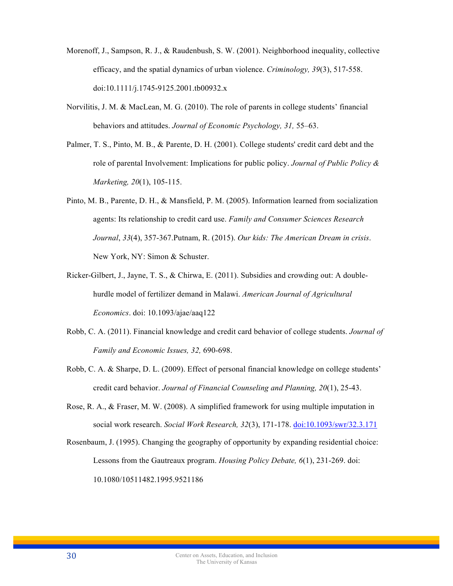- Morenoff, J., Sampson, R. J., & Raudenbush, S. W. (2001). Neighborhood inequality, collective efficacy, and the spatial dynamics of urban violence. *Criminology, 39*(3), 517-558. doi:10.1111/j.1745-9125.2001.tb00932.x
- Norvilitis, J. M. & MacLean, M. G. (2010). The role of parents in college students' financial behaviors and attitudes. *Journal of Economic Psychology, 31,* 55–63.
- Palmer, T. S., Pinto, M. B., & Parente, D. H. (2001). College students' credit card debt and the role of parental Involvement: Implications for public policy. *Journal of Public Policy & Marketing, 20*(1), 105-115.
- Pinto, M. B., Parente, D. H., & Mansfield, P. M. (2005). Information learned from socialization agents: Its relationship to credit card use. *Family and Consumer Sciences Research Journal*, *33*(4), 357-367.Putnam, R. (2015). *Our kids: The American Dream in crisis*. New York, NY: Simon & Schuster.
- Ricker-Gilbert, J., Jayne, T. S., & Chirwa, E. (2011). Subsidies and crowding out: A doublehurdle model of fertilizer demand in Malawi. *American Journal of Agricultural Economics*. doi: 10.1093/ajae/aaq122
- Robb, C. A. (2011). Financial knowledge and credit card behavior of college students. *Journal of Family and Economic Issues, 32,* 690-698.
- Robb, C. A. & Sharpe, D. L. (2009). Effect of personal financial knowledge on college students' credit card behavior. *Journal of Financial Counseling and Planning, 20*(1), 25-43.
- Rose, R. A., & Fraser, M. W. (2008). A simplified framework for using multiple imputation in social work research. *Social Work Research, 32*(3), 171-178. doi:10.1093/swr/32.3.171
- Rosenbaum, J. (1995). Changing the geography of opportunity by expanding residential choice: Lessons from the Gautreaux program. *Housing Policy Debate, 6*(1), 231-269. doi: 10.1080/10511482.1995.9521186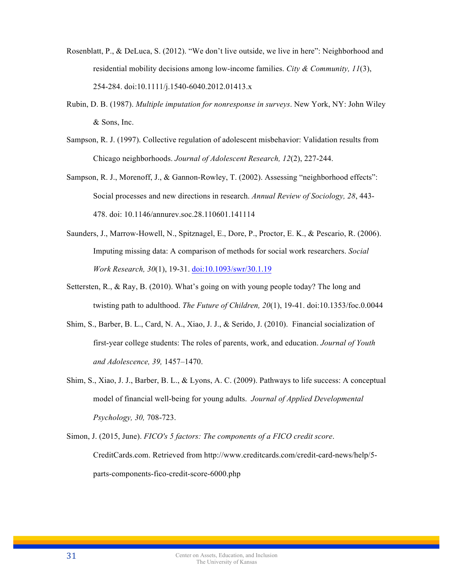- Rosenblatt, P., & DeLuca, S. (2012). "We don't live outside, we live in here": Neighborhood and residential mobility decisions among low-income families. *City & Community, 11*(3), 254-284. doi:10.1111/j.1540-6040.2012.01413.x
- Rubin, D. B. (1987). *Multiple imputation for nonresponse in surveys*. New York, NY: John Wiley & Sons, Inc.
- Sampson, R. J. (1997). Collective regulation of adolescent misbehavior: Validation results from Chicago neighborhoods. *Journal of Adolescent Research, 12*(2), 227-244.
- Sampson, R. J., Morenoff, J., & Gannon-Rowley, T. (2002). Assessing "neighborhood effects": Social processes and new directions in research. *Annual Review of Sociology, 28*, 443- 478. doi: 10.1146/annurev.soc.28.110601.141114
- Saunders, J., Marrow-Howell, N., Spitznagel, E., Dore, P., Proctor, E. K., & Pescario, R. (2006). Imputing missing data: A comparison of methods for social work researchers. *Social Work Research, 30*(1), 19-31. doi:10.1093/swr/30.1.19
- Settersten, R., & Ray, B. (2010). What's going on with young people today? The long and twisting path to adulthood. *The Future of Children, 20*(1), 19-41. doi:10.1353/foc.0.0044
- Shim, S., Barber, B. L., Card, N. A., Xiao, J. J., & Serido, J. (2010). Financial socialization of first-year college students: The roles of parents, work, and education. *Journal of Youth and Adolescence, 39,* 1457–1470.
- Shim, S., Xiao, J. J., Barber, B. L., & Lyons, A. C. (2009). Pathways to life success: A conceptual model of financial well-being for young adults. *Journal of Applied Developmental Psychology, 30,* 708-723.
- Simon, J. (2015, June). *FICO's 5 factors: The components of a FICO credit score*. CreditCards.com. Retrieved from http://www.creditcards.com/credit-card-news/help/5 parts-components-fico-credit-score-6000.php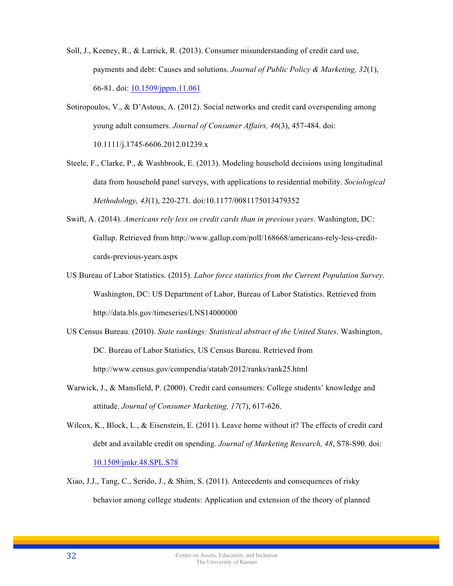- Soll, J., Keeney, R., & Larrick, R. (2013). Consumer misunderstanding of credit card use, payments and debt: Causes and solutions. *Journal of Public Policy & Marketing, 32*(1), 66-81. doi: 10.1509/jppm.11.061
- Sotiropoulos, V., & D'Astous, A. (2012). Social networks and credit card overspending among young adult consumers. *Journal of Consumer Affairs, 46*(3), 457-484. doi: 10.1111/j.1745-6606.2012.01239.x
- Steele, F., Clarke, P., & Washbrook, E. (2013). Modeling household decisions using longitudinal data from household panel surveys, with applications to residential mobility. *Sociological Methodology, 43*(1), 220-271. doi:10.1177/0081175013479352
- Swift, A. (2014). *Americans rely less on credit cards than in previous years*. Washington, DC: Gallup. Retrieved from http://www.gallup.com/poll/168668/americans-rely-less-creditcards-previous-years.aspx
- US Bureau of Labor Statistics. (2015). *Labor force statistics from the Current Population Survey*. Washington, DC: US Department of Labor, Bureau of Labor Statistics. Retrieved from http://data.bls.gov/timeseries/LNS14000000
- US Census Bureau. (2010). *State rankings: Statistical abstract of the United States*. Washington, DC. Bureau of Labor Statistics, US Census Bureau. Retrieved from http://www.census.gov/compendia/statab/2012/ranks/rank25.html
- Warwick, J., & Mansfield, P. (2000). Credit card consumers: College students' knowledge and attitude. *Journal of Consumer Marketing, 17*(7), 617-626.
- Wilcox, K., Block, L., & Eisenstein, E. (2011). Leave home without it? The effects of credit card debt and available credit on spending. *Journal of Marketing Research, 48*, S78-S90. doi: 10.1509/jmkr.48.SPL.S78
- Xiao, J.J., Tang, C., Serido, J., & Shim, S. (2011). Antecedents and consequences of risky behavior among college students: Application and extension of the theory of planned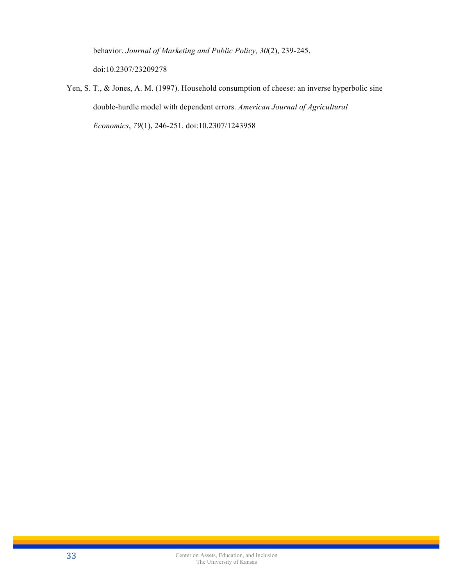behavior. *Journal of Marketing and Public Policy, 30*(2), 239-245. doi:10.2307/23209278

Yen, S. T., & Jones, A. M. (1997). Household consumption of cheese: an inverse hyperbolic sine double-hurdle model with dependent errors. *American Journal of Agricultural Economics*, *79*(1), 246-251. doi:10.2307/1243958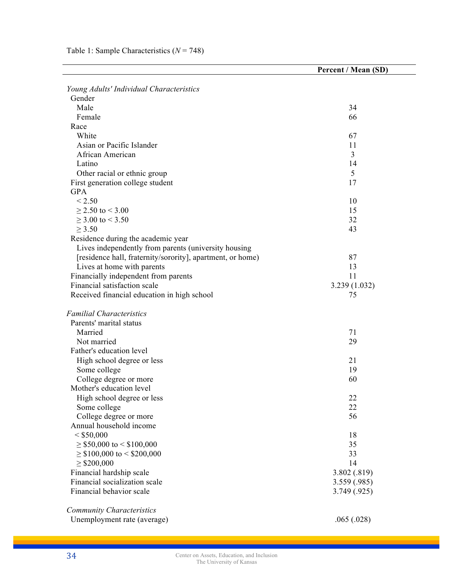|                                                                    | Percent / Mean (SD) |
|--------------------------------------------------------------------|---------------------|
|                                                                    |                     |
| Young Adults' Individual Characteristics                           |                     |
| Gender                                                             |                     |
| Male                                                               | 34                  |
| Female                                                             | 66                  |
| Race                                                               |                     |
| White                                                              | 67                  |
| Asian or Pacific Islander                                          | 11                  |
| African American                                                   | 3                   |
| Latino                                                             | 14                  |
| Other racial or ethnic group                                       | 5                   |
| First generation college student                                   | 17                  |
| <b>GPA</b>                                                         |                     |
| < 2.50                                                             | 10                  |
| $\geq$ 2.50 to < 3.00                                              | 15                  |
| $\geq$ 3.00 to < 3.50                                              | 32                  |
| $\geq$ 3.50                                                        | 43                  |
| Residence during the academic year                                 |                     |
| Lives independently from parents (university housing               |                     |
| [residence hall, fraternity/sorority], apartment, or home)         | 87                  |
| Lives at home with parents<br>Financially independent from parents | 13<br>11            |
| Financial satisfaction scale                                       |                     |
| Received financial education in high school                        | 3.239 (1.032)<br>75 |
|                                                                    |                     |
| <b>Familial Characteristics</b>                                    |                     |
| Parents' marital status                                            |                     |
| Married                                                            | 71                  |
| Not married                                                        | 29                  |
| Father's education level                                           |                     |
| High school degree or less                                         | 21                  |
| Some college                                                       | 19                  |
| College degree or more                                             | 60                  |
| Mother's education level                                           |                     |
| High school degree or less                                         | 22                  |
| Some college                                                       | 22                  |
| College degree or more                                             | 56                  |
| Annual household income                                            |                     |
| $<$ \$50,000                                                       | 18                  |
| $\geq$ \$50,000 to < \$100,000                                     | 35                  |
| $\geq$ \$100,000 to < \$200,000                                    | 33                  |
| $\geq$ \$200,000                                                   | 14                  |
| Financial hardship scale                                           | 3.802 (.819)        |
| Financial socialization scale                                      | 3.559 (.985)        |
| Financial behavior scale                                           | 3.749 (.925)        |
|                                                                    |                     |
| <b>Community Characteristics</b>                                   |                     |
| Unemployment rate (average)                                        | .065(.028)          |

L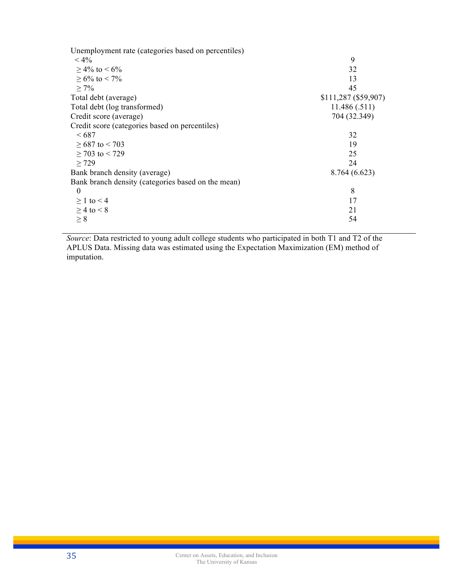| Unemployment rate (categories based on percentiles) |                      |
|-----------------------------------------------------|----------------------|
| $< 4\%$                                             | 9                    |
| $>$ 4% to $<$ 6%                                    | 32                   |
| $> 6\%$ to $< 7\%$                                  | 13                   |
| $> 7\%$                                             | 45                   |
| Total debt (average)                                | \$111,287 (\$59,907) |
| Total debt (log transformed)                        | 11.486(.511)         |
| Credit score (average)                              | 704 (32.349)         |
| Credit score (categories based on percentiles)      |                      |
| <687                                                | 32                   |
| $>687$ to $< 703$                                   | 19                   |
| $\geq$ 703 to < 729                                 | 25                   |
| $\geq$ 729                                          | 24                   |
| Bank branch density (average)                       | 8.764 (6.623)        |
| Bank branch density (categories based on the mean)  |                      |
| $\theta$                                            | 8                    |
| $\geq 1$ to $\leq 4$                                | 17                   |
| $\geq$ 4 to < 8                                     | 21                   |
| $\geq 8$                                            | 54                   |

*Source*: Data restricted to young adult college students who participated in both T1 and T2 of the APLUS Data. Missing data was estimated using the Expectation Maximization (EM) method of imputation.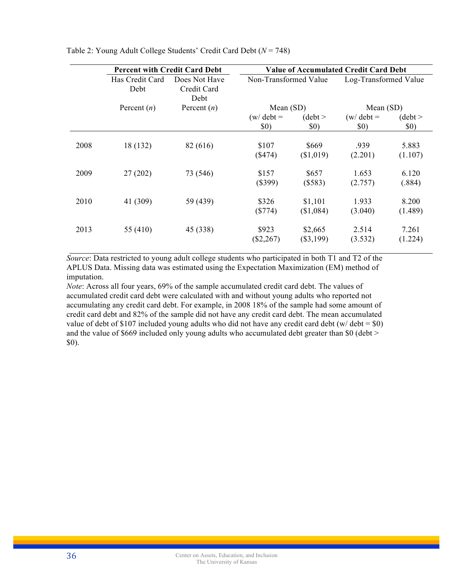|      | <b>Percent with Credit Card Debt</b> |                                      | <b>Value of Accumulated Credit Card Debt</b> |                        |                             |                  |  |
|------|--------------------------------------|--------------------------------------|----------------------------------------------|------------------------|-----------------------------|------------------|--|
|      | Has Credit Card<br>Debt              | Does Not Have<br>Credit Card<br>Debt | Non-Transformed Value                        |                        | Log-Transformed Value       |                  |  |
|      | Percent $(n)$                        | Percent $(n)$                        | Mean $(SD)$                                  |                        | Mean $(SD)$                 |                  |  |
|      |                                      |                                      | $(w/\text{ debt} =$<br>\$0)                  | (debt ><br>\$0)        | $(w/\text{ debt} =$<br>\$0) | (debt ><br>\$0)  |  |
| 2008 | 18 (132)                             | 82 (616)                             | \$107<br>(S474)                              | \$669<br>(\$1,019)     | .939<br>(2.201)             | 5.883<br>(1.107) |  |
| 2009 | 27(202)                              | 73 (546)                             | \$157<br>$(\$399)$                           | \$657<br>(\$583)       | 1.653<br>(2.757)            | 6.120<br>(.884)  |  |
| 2010 | 41 (309)                             | 59 (439)                             | \$326<br>$(\$774)$                           | \$1,101<br>(\$1,084)   | 1.933<br>(3.040)            | 8.200<br>(1.489) |  |
| 2013 | 55 (410)                             | 45 (338)                             | \$923<br>$(\$2,267)$                         | \$2,665<br>$(\$3,199)$ | 2.514<br>(3.532)            | 7.261<br>(1.224) |  |

Table 2: Young Adult College Students' Credit Card Debt (*N* = 748)

*Source*: Data restricted to young adult college students who participated in both T1 and T2 of the APLUS Data. Missing data was estimated using the Expectation Maximization (EM) method of imputation.

*Note*: Across all four years, 69% of the sample accumulated credit card debt. The values of accumulated credit card debt were calculated with and without young adults who reported not accumulating any credit card debt. For example, in 2008 18% of the sample had some amount of credit card debt and 82% of the sample did not have any credit card debt. The mean accumulated value of debt of \$107 included young adults who did not have any credit card debt (w/debt =  $$0$ ) and the value of \$669 included only young adults who accumulated debt greater than \$0 (debt > \$0).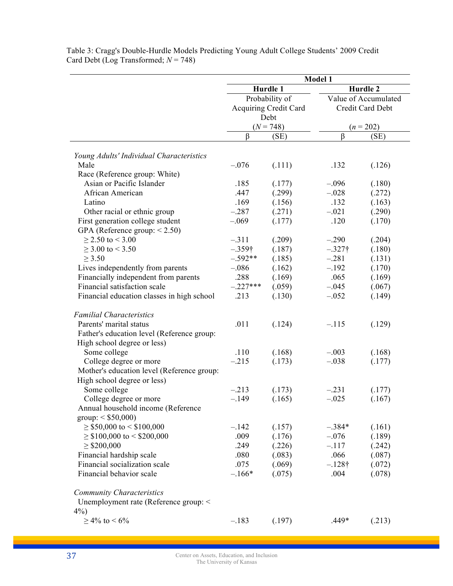|                                            | Model 1        |                              |                      |                  |  |
|--------------------------------------------|----------------|------------------------------|----------------------|------------------|--|
|                                            |                | Hurdle 1                     | Hurdle 2             |                  |  |
|                                            | Probability of |                              | Value of Accumulated |                  |  |
|                                            |                | <b>Acquiring Credit Card</b> |                      | Credit Card Debt |  |
|                                            | Debt           |                              |                      |                  |  |
|                                            |                | $(N = 748)$                  | $(n = 202)$          |                  |  |
|                                            | β              | (SE)                         | $\beta$              | (SE)             |  |
| Young Adults' Individual Characteristics   |                |                              |                      |                  |  |
| Male                                       | $-.076$        | (.111)                       | .132                 | (.126)           |  |
| Race (Reference group: White)              |                |                              |                      |                  |  |
| Asian or Pacific Islander                  | .185           | (.177)                       | $-.096$              | (.180)           |  |
| African American                           | .447           | (.299)                       | $-.028$              | (.272)           |  |
| Latino                                     | .169           | (.156)                       | .132                 | (.163)           |  |
| Other racial or ethnic group               | $-.287$        | (.271)                       | $-.021$              | (.290)           |  |
| First generation college student           | $-.069$        | (.177)                       | .120                 | (.170)           |  |
| GPA (Reference group: $< 2.50$ )           |                |                              |                      |                  |  |
| $\geq$ 2.50 to < 3.00                      | $-.311$        | (.209)                       | $-.290$              | (.204)           |  |
| $\geq$ 3.00 to < 3.50                      | $-.359\dagger$ | (.187)                       | $-.327\dagger$       | (.180)           |  |
| $\geq 3.50$                                | $-.592**$      | (.185)                       | $-.281$              | (.131)           |  |
| Lives independently from parents           | $-.086$        | (.162)                       | $-.192$              | (.170)           |  |
| Financially independent from parents       | .288           | (.169)                       | .065                 | (.169)           |  |
| Financial satisfaction scale               | $-.227***$     | (.059)                       | $-.045$              | (.067)           |  |
| Financial education classes in high school | .213           | (.130)                       | $-.052$              | (.149)           |  |
|                                            |                |                              |                      |                  |  |
| <b>Familial Characteristics</b>            |                |                              |                      |                  |  |
| Parents' marital status                    | .011           | (.124)                       | $-.115$              | (.129)           |  |
| Father's education level (Reference group: |                |                              |                      |                  |  |
| High school degree or less)                |                |                              |                      |                  |  |
| Some college                               | .110           | (.168)                       | $-.003$              | (.168)           |  |
| College degree or more                     | $-.215$        | (.173)                       | $-.038$              | (.177)           |  |
| Mother's education level (Reference group: |                |                              |                      |                  |  |
| High school degree or less)                |                |                              |                      |                  |  |
| Some college                               | $-.213$        | (.173)                       | $-.231$              | (.177)           |  |
| College degree or more                     | $-.149$        | (.165)                       | $-.025$              | (.167)           |  |
| Annual household income (Reference         |                |                              |                      |                  |  |
| $\text{group}: \leq $50,000$               |                |                              |                      |                  |  |
| $\geq$ \$50,000 to < \$100,000             | $-.142$        | (.157)                       | $-.384*$             | (.161)           |  |
| $\geq$ \$100,000 to < \$200,000            | .009           | (.176)                       | $-.076$              | (.189)           |  |
| $\geq$ \$200,000                           | .249           | (.226)                       | $-.117$              | (.242)           |  |
| Financial hardship scale                   | .080           | (.083)                       | .066                 | (.087)           |  |
| Financial socialization scale              | .075           | (.069)                       | $-.128\dagger$       | (.072)           |  |
| Financial behavior scale                   | $-.166*$       | (.075)                       | .004                 | (.078)           |  |
|                                            |                |                              |                      |                  |  |
| <b>Community Characteristics</b>           |                |                              |                      |                  |  |
| Unemployment rate (Reference group: <      |                |                              |                      |                  |  |
| $4\%$ )                                    |                |                              |                      |                  |  |
| $\geq 4\%$ to < 6%                         | $-.183$        | (.197)                       | $.449*$              | (.213)           |  |

Table 3: Cragg's Double-Hurdle Models Predicting Young Adult College Students' 2009 Credit Card Debt (Log Transformed; *N* = 748)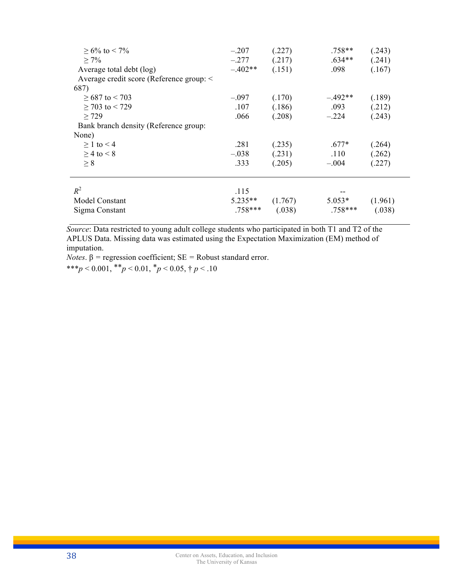| $\geq 6\%$ to < 7%<br>$\geq 7\%$<br>Average total debt (log) | $-.207$<br>$-.277$<br>$-.402**$ | (.227)<br>(.217)<br>(.151) | .758**<br>$.634**$<br>.098 | (.243)<br>(.241)<br>(.167) |
|--------------------------------------------------------------|---------------------------------|----------------------------|----------------------------|----------------------------|
| Average credit score (Reference group: <                     |                                 |                            |                            |                            |
| 687)                                                         |                                 |                            |                            |                            |
| $>687$ to $< 703$                                            | $-.097$                         | (.170)                     | $-.492**$                  | (.189)                     |
| $\geq$ 703 to < 729                                          | .107                            | (.186)                     | .093                       | (.212)                     |
| > 729                                                        | .066                            | (.208)                     | $-.224$                    | (.243)                     |
| Bank branch density (Reference group:                        |                                 |                            |                            |                            |
| None)                                                        |                                 |                            |                            |                            |
| $>1$ to $<$ 4                                                | .281                            | (.235)                     | $.677*$                    | (.264)                     |
| $>$ 4 to $<$ 8                                               | $-.038$                         | (.231)                     | .110                       | (.262)                     |
| $\geq 8$                                                     | .333                            | (.205)                     | $-.004$                    | (.227)                     |
|                                                              |                                 |                            |                            |                            |
| $R^2$                                                        | .115                            |                            |                            |                            |
| Model Constant                                               | $5.235**$                       | (1.767)                    | $5.053*$                   | (1.961)                    |
| Sigma Constant                                               | $.758***$                       | (.038)                     | $.758***$                  | (.038)                     |
|                                                              |                                 |                            |                            |                            |

*Source*: Data restricted to young adult college students who participated in both T1 and T2 of the APLUS Data. Missing data was estimated using the Expectation Maximization (EM) method of imputation.

*Notes*.  $β$  = regression coefficient;  $SE$  = Robust standard error.

\*\*\**p* < 0.001, \*\**p* < 0.01, \**p* < 0.05,  $\dagger$  *p* < .10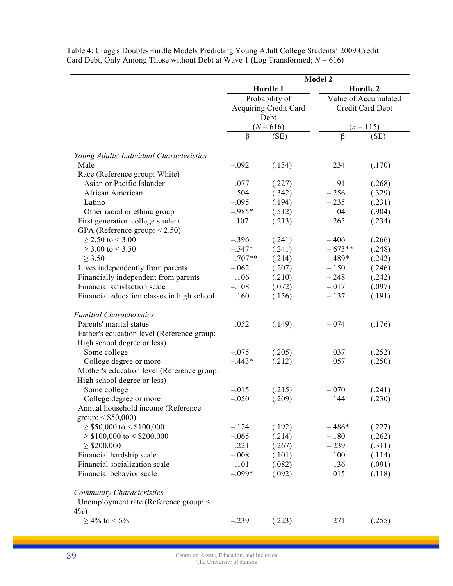|                                            | Model 2        |                              |                      |                  |  |
|--------------------------------------------|----------------|------------------------------|----------------------|------------------|--|
|                                            |                | Hurdle 1                     | Hurdle 2             |                  |  |
|                                            | Probability of |                              | Value of Accumulated |                  |  |
|                                            |                | <b>Acquiring Credit Card</b> |                      | Credit Card Debt |  |
|                                            | Debt           |                              |                      |                  |  |
|                                            |                | $(N = 616)$                  |                      | $(n = 115)$      |  |
|                                            | β              | (SE)                         | $\beta$              | (SE)             |  |
| Young Adults' Individual Characteristics   |                |                              |                      |                  |  |
| Male                                       | $-.092$        | (.134)                       | .234                 | (.170)           |  |
| Race (Reference group: White)              |                |                              |                      |                  |  |
| Asian or Pacific Islander                  | $-.077$        | (.227)                       | $-.191$              | (.268)           |  |
| African American                           | .504           | (.342)                       | $-.256$              | (.329)           |  |
| Latino                                     | $-.095$        | (.194)                       | $-.235$              | (.231)           |  |
| Other racial or ethnic group               | $-.985*$       | (.512)                       | .104                 | (.904)           |  |
| First generation college student           | .107           | (.213)                       | .265                 | (.234)           |  |
| GPA (Reference group: $< 2.50$ )           |                |                              |                      |                  |  |
| $\geq$ 2.50 to < 3.00                      | $-.396$        | (.241)                       | $-.406$              | (.266)           |  |
| $\geq$ 3.00 to < 3.50                      | $-.547*$       | (.241)                       | $-.673**$            | (.248)           |  |
| $\geq 3.50$                                | $-.707**$      | (.214)                       | $-.489*$             | (.242)           |  |
| Lives independently from parents           | $-.062$        | (.207)                       | $-.150$              | (.246)           |  |
| Financially independent from parents       | .106           | (.210)                       | $-.248$              | (.242)           |  |
| Financial satisfaction scale               | $-.108$        | (.072)                       | $-.017$              | (.097)           |  |
| Financial education classes in high school | .160           | (.156)                       | $-.137$              | (.191)           |  |
|                                            |                |                              |                      |                  |  |
| <b>Familial Characteristics</b>            |                |                              |                      |                  |  |
| Parents' marital status                    | .052           | (.149)                       | $-.074$              | (.176)           |  |
| Father's education level (Reference group: |                |                              |                      |                  |  |
| High school degree or less)                |                |                              |                      |                  |  |
| Some college                               | $-.075$        | (.205)                       | .037                 | (.252)           |  |
| College degree or more                     | $-.443*$       | (.212)                       | .057                 | (.250)           |  |
| Mother's education level (Reference group: |                |                              |                      |                  |  |
| High school degree or less)                |                |                              |                      |                  |  |
| Some college                               | $-.015$        | (.215)                       | $-.070$              | (.241)           |  |
| College degree or more                     | $-.050$        | (.209)                       | .144                 | (.230)           |  |
| Annual household income (Reference         |                |                              |                      |                  |  |
| $\text{group}: \leq $50,000$               |                |                              |                      |                  |  |
| $\geq$ \$50,000 to < \$100,000             | $-.124$        | (.192)                       | $-.486*$             | (.227)           |  |
| $\geq$ \$100,000 to < \$200,000            | $-.065$        | (.214)                       | $-.180$              | (.262)           |  |
| $\geq$ \$200,000                           | .221           | (.267)                       | $-.239$              | (.311)           |  |
| Financial hardship scale                   | $-.008$        | (.101)                       | .100                 | (.114)           |  |
| Financial socialization scale              | $-.101$        | (.082)                       | $-.136$              | (.091)           |  |
| Financial behavior scale                   | $-.099*$       | (.092)                       | .015                 | (.118)           |  |
|                                            |                |                              |                      |                  |  |
| <b>Community Characteristics</b>           |                |                              |                      |                  |  |
| Unemployment rate (Reference group: <      |                |                              |                      |                  |  |
| $4\%$ )                                    |                |                              |                      |                  |  |
| $\geq 4\%$ to < 6%                         | $-.239$        | (.223)                       | .271                 | (.255)           |  |
|                                            |                |                              |                      |                  |  |

Table 4: Cragg's Double-Hurdle Models Predicting Young Adult College Students' 2009 Credit Card Debt, Only Among Those without Debt at Wave 1 (Log Transformed;  $N = 616$ )